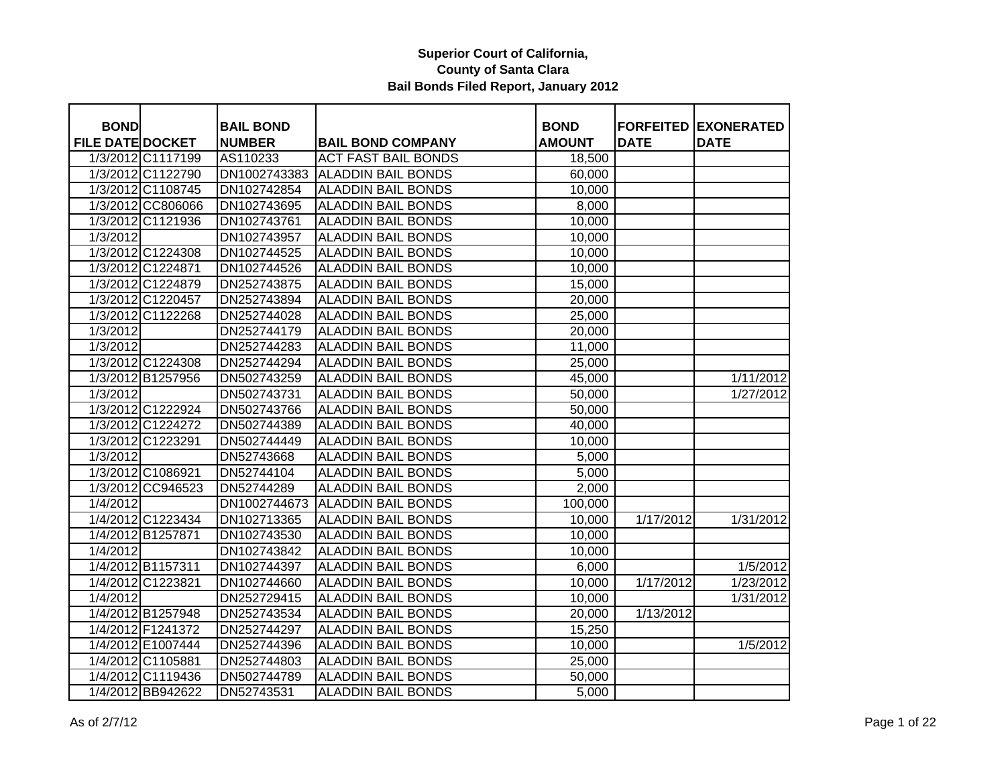| <b>BOND</b>             |                   | <b>BAIL BOND</b> |                            | <b>BOND</b>   |             | <b>FORFEITED EXONERATED</b> |
|-------------------------|-------------------|------------------|----------------------------|---------------|-------------|-----------------------------|
| <b>FILE DATE DOCKET</b> |                   | <b>NUMBER</b>    | <b>BAIL BOND COMPANY</b>   | <b>AMOUNT</b> | <b>DATE</b> | <b>DATE</b>                 |
|                         | 1/3/2012 C1117199 | AS110233         | <b>ACT FAST BAIL BONDS</b> | 18,500        |             |                             |
|                         | 1/3/2012 C1122790 | DN1002743383     | <b>ALADDIN BAIL BONDS</b>  | 60,000        |             |                             |
|                         | 1/3/2012 C1108745 | DN102742854      | <b>ALADDIN BAIL BONDS</b>  | 10,000        |             |                             |
|                         | 1/3/2012 CC806066 | DN102743695      | <b>ALADDIN BAIL BONDS</b>  | 8,000         |             |                             |
|                         | 1/3/2012 C1121936 | DN102743761      | <b>ALADDIN BAIL BONDS</b>  | 10,000        |             |                             |
| 1/3/2012                |                   | DN102743957      | <b>ALADDIN BAIL BONDS</b>  | 10,000        |             |                             |
|                         | 1/3/2012 C1224308 | DN102744525      | <b>ALADDIN BAIL BONDS</b>  | 10,000        |             |                             |
|                         | 1/3/2012 C1224871 | DN102744526      | <b>ALADDIN BAIL BONDS</b>  | 10,000        |             |                             |
|                         | 1/3/2012 C1224879 | DN252743875      | <b>ALADDIN BAIL BONDS</b>  | 15,000        |             |                             |
|                         | 1/3/2012 C1220457 | DN252743894      | <b>ALADDIN BAIL BONDS</b>  | 20,000        |             |                             |
|                         | 1/3/2012 C1122268 | DN252744028      | <b>ALADDIN BAIL BONDS</b>  | 25,000        |             |                             |
| 1/3/2012                |                   | DN252744179      | <b>ALADDIN BAIL BONDS</b>  | 20,000        |             |                             |
| 1/3/2012                |                   | DN252744283      | <b>ALADDIN BAIL BONDS</b>  | 11,000        |             |                             |
|                         | 1/3/2012 C1224308 | DN252744294      | <b>ALADDIN BAIL BONDS</b>  | 25,000        |             |                             |
|                         | 1/3/2012 B1257956 | DN502743259      | <b>ALADDIN BAIL BONDS</b>  | 45,000        |             | 1/11/2012                   |
| 1/3/2012                |                   | DN502743731      | <b>ALADDIN BAIL BONDS</b>  | 50,000        |             | 1/27/2012                   |
|                         | 1/3/2012 C1222924 | DN502743766      | <b>ALADDIN BAIL BONDS</b>  | 50,000        |             |                             |
|                         | 1/3/2012 C1224272 | DN502744389      | <b>ALADDIN BAIL BONDS</b>  | 40,000        |             |                             |
|                         | 1/3/2012 C1223291 | DN502744449      | <b>ALADDIN BAIL BONDS</b>  | 10,000        |             |                             |
| 1/3/2012                |                   | DN52743668       | <b>ALADDIN BAIL BONDS</b>  | 5,000         |             |                             |
|                         | 1/3/2012 C1086921 | DN52744104       | <b>ALADDIN BAIL BONDS</b>  | 5,000         |             |                             |
|                         | 1/3/2012 CC946523 | DN52744289       | <b>ALADDIN BAIL BONDS</b>  | 2,000         |             |                             |
| 1/4/2012                |                   | DN1002744673     | <b>ALADDIN BAIL BONDS</b>  | 100,000       |             |                             |
|                         | 1/4/2012 C1223434 | DN102713365      | <b>ALADDIN BAIL BONDS</b>  | 10,000        | 1/17/2012   | 1/31/2012                   |
|                         | 1/4/2012 B1257871 | DN102743530      | <b>ALADDIN BAIL BONDS</b>  | 10,000        |             |                             |
| 1/4/2012                |                   | DN102743842      | <b>ALADDIN BAIL BONDS</b>  | 10,000        |             |                             |
|                         | 1/4/2012 B1157311 | DN102744397      | <b>ALADDIN BAIL BONDS</b>  | 6,000         |             | 1/5/2012                    |
|                         | 1/4/2012 C1223821 | DN102744660      | <b>ALADDIN BAIL BONDS</b>  | 10,000        | 1/17/2012   | 1/23/2012                   |
| 1/4/2012                |                   | DN252729415      | <b>ALADDIN BAIL BONDS</b>  | 10,000        |             | 1/31/2012                   |
|                         | 1/4/2012 B1257948 | DN252743534      | <b>ALADDIN BAIL BONDS</b>  | 20,000        | 1/13/2012   |                             |
|                         | 1/4/2012 F1241372 | DN252744297      | <b>ALADDIN BAIL BONDS</b>  | 15,250        |             |                             |
|                         | 1/4/2012 E1007444 | DN252744396      | <b>ALADDIN BAIL BONDS</b>  | 10,000        |             | 1/5/2012                    |
|                         | 1/4/2012 C1105881 | DN252744803      | <b>ALADDIN BAIL BONDS</b>  | 25,000        |             |                             |
|                         | 1/4/2012 C1119436 | DN502744789      | <b>ALADDIN BAIL BONDS</b>  | 50,000        |             |                             |
|                         | 1/4/2012 BB942622 | DN52743531       | <b>ALADDIN BAIL BONDS</b>  | 5,000         |             |                             |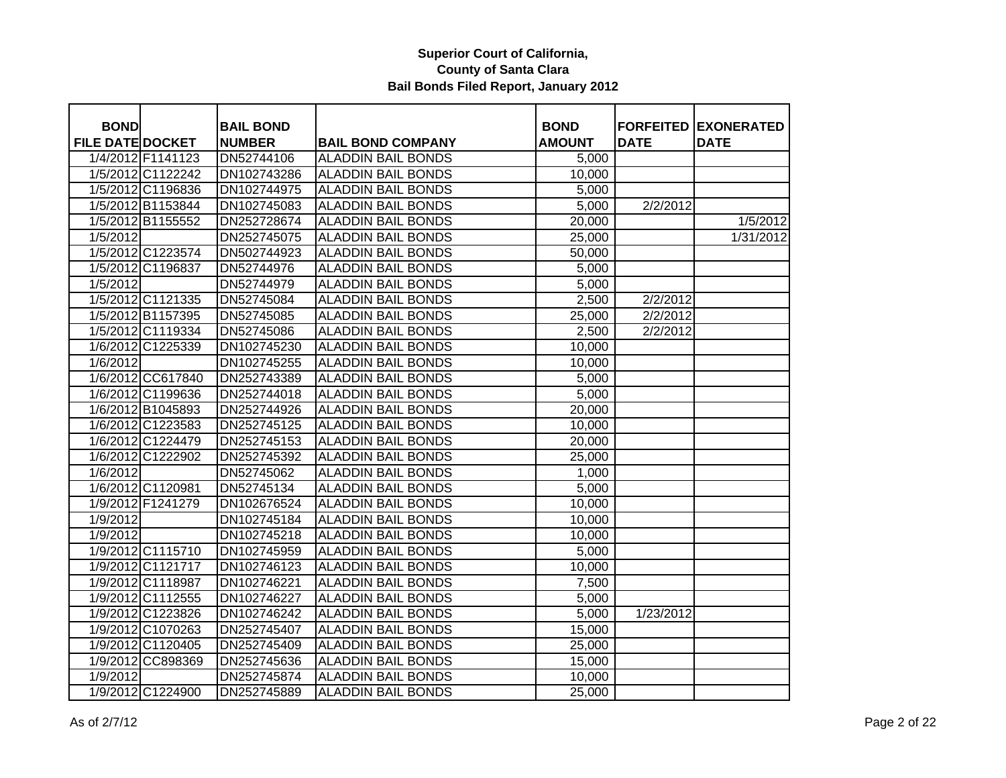| <b>BOND</b>             |                   | <b>BAIL BOND</b> |                           | <b>BOND</b>   |             | <b>FORFEITED EXONERATED</b> |
|-------------------------|-------------------|------------------|---------------------------|---------------|-------------|-----------------------------|
| <b>FILE DATE DOCKET</b> |                   | <b>NUMBER</b>    | <b>BAIL BOND COMPANY</b>  | <b>AMOUNT</b> | <b>DATE</b> | <b>DATE</b>                 |
|                         | 1/4/2012 F1141123 | DN52744106       | <b>ALADDIN BAIL BONDS</b> | 5,000         |             |                             |
|                         | 1/5/2012 C1122242 | DN102743286      | <b>ALADDIN BAIL BONDS</b> | 10,000        |             |                             |
|                         | 1/5/2012 C1196836 | DN102744975      | <b>ALADDIN BAIL BONDS</b> | 5,000         |             |                             |
|                         | 1/5/2012 B1153844 | DN102745083      | <b>ALADDIN BAIL BONDS</b> | 5,000         | 2/2/2012    |                             |
|                         | 1/5/2012 B1155552 | DN252728674      | <b>ALADDIN BAIL BONDS</b> | 20,000        |             | 1/5/2012                    |
| 1/5/2012                |                   | DN252745075      | <b>ALADDIN BAIL BONDS</b> | 25,000        |             | 1/31/2012                   |
|                         | 1/5/2012 C1223574 | DN502744923      | <b>ALADDIN BAIL BONDS</b> | 50,000        |             |                             |
|                         | 1/5/2012 C1196837 | DN52744976       | <b>ALADDIN BAIL BONDS</b> | 5,000         |             |                             |
| 1/5/2012                |                   | DN52744979       | <b>ALADDIN BAIL BONDS</b> | 5,000         |             |                             |
|                         | 1/5/2012 C1121335 | DN52745084       | <b>ALADDIN BAIL BONDS</b> | 2,500         | 2/2/2012    |                             |
|                         | 1/5/2012 B1157395 | DN52745085       | <b>ALADDIN BAIL BONDS</b> | 25,000        | 2/2/2012    |                             |
|                         | 1/5/2012 C1119334 | DN52745086       | <b>ALADDIN BAIL BONDS</b> | 2,500         | 2/2/2012    |                             |
|                         | 1/6/2012 C1225339 | DN102745230      | <b>ALADDIN BAIL BONDS</b> | 10,000        |             |                             |
| 1/6/2012                |                   | DN102745255      | <b>ALADDIN BAIL BONDS</b> | 10,000        |             |                             |
|                         | 1/6/2012 CC617840 | DN252743389      | <b>ALADDIN BAIL BONDS</b> | 5,000         |             |                             |
|                         | 1/6/2012 C1199636 | DN252744018      | <b>ALADDIN BAIL BONDS</b> | 5,000         |             |                             |
|                         | 1/6/2012 B1045893 | DN252744926      | <b>ALADDIN BAIL BONDS</b> | 20,000        |             |                             |
|                         | 1/6/2012 C1223583 | DN252745125      | <b>ALADDIN BAIL BONDS</b> | 10,000        |             |                             |
|                         | 1/6/2012 C1224479 | DN252745153      | <b>ALADDIN BAIL BONDS</b> | 20,000        |             |                             |
|                         | 1/6/2012 C1222902 | DN252745392      | <b>ALADDIN BAIL BONDS</b> | 25,000        |             |                             |
| 1/6/2012                |                   | DN52745062       | <b>ALADDIN BAIL BONDS</b> | 1,000         |             |                             |
|                         | 1/6/2012 C1120981 | DN52745134       | <b>ALADDIN BAIL BONDS</b> | 5,000         |             |                             |
|                         | 1/9/2012 F1241279 | DN102676524      | <b>ALADDIN BAIL BONDS</b> | 10,000        |             |                             |
| 1/9/2012                |                   | DN102745184      | <b>ALADDIN BAIL BONDS</b> | 10,000        |             |                             |
| 1/9/2012                |                   | DN102745218      | <b>ALADDIN BAIL BONDS</b> | 10,000        |             |                             |
|                         | 1/9/2012 C1115710 | DN102745959      | <b>ALADDIN BAIL BONDS</b> | 5,000         |             |                             |
|                         | 1/9/2012 C1121717 | DN102746123      | <b>ALADDIN BAIL BONDS</b> | 10,000        |             |                             |
|                         | 1/9/2012 C1118987 | DN102746221      | <b>ALADDIN BAIL BONDS</b> | 7,500         |             |                             |
|                         | 1/9/2012 C1112555 | DN102746227      | <b>ALADDIN BAIL BONDS</b> | 5,000         |             |                             |
|                         | 1/9/2012 C1223826 | DN102746242      | <b>ALADDIN BAIL BONDS</b> | 5,000         | 1/23/2012   |                             |
|                         | 1/9/2012 C1070263 | DN252745407      | <b>ALADDIN BAIL BONDS</b> | 15,000        |             |                             |
|                         | 1/9/2012 C1120405 | DN252745409      | <b>ALADDIN BAIL BONDS</b> | 25,000        |             |                             |
|                         | 1/9/2012 CC898369 | DN252745636      | <b>ALADDIN BAIL BONDS</b> | 15,000        |             |                             |
| 1/9/2012                |                   | DN252745874      | <b>ALADDIN BAIL BONDS</b> | 10,000        |             |                             |
|                         | 1/9/2012 C1224900 | DN252745889      | <b>ALADDIN BAIL BONDS</b> | 25,000        |             |                             |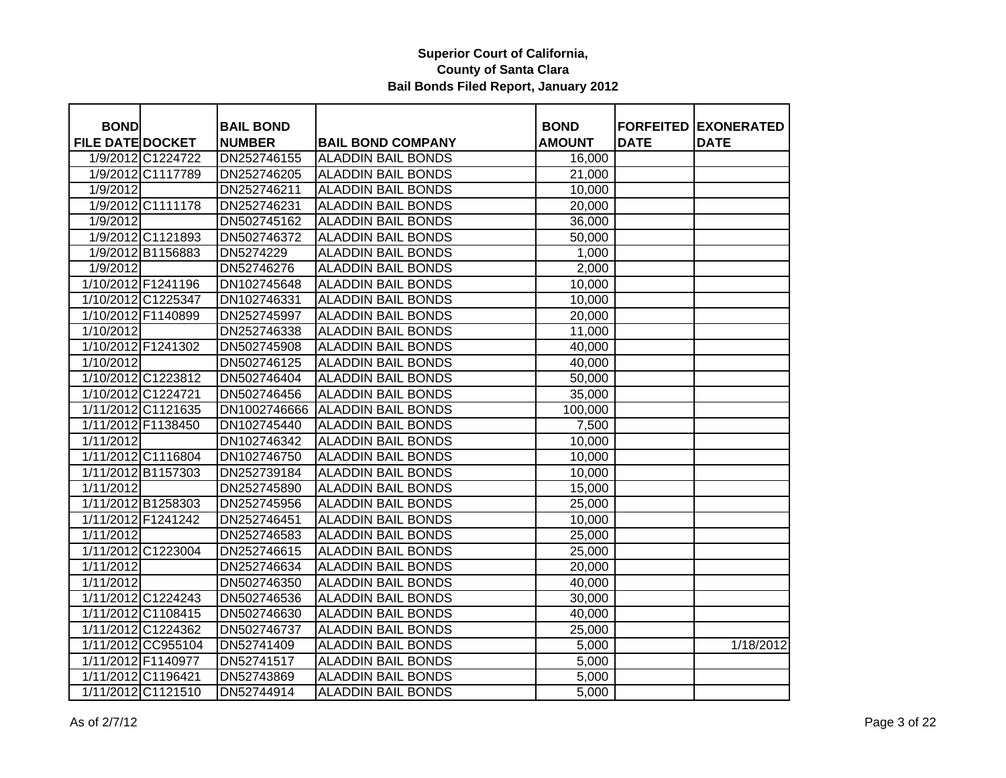| <b>BOND</b>             |                    | <b>BAIL BOND</b> |                           | <b>BOND</b>   |             | <b>FORFEITED EXONERATED</b> |
|-------------------------|--------------------|------------------|---------------------------|---------------|-------------|-----------------------------|
| <b>FILE DATE DOCKET</b> |                    | <b>NUMBER</b>    | <b>BAIL BOND COMPANY</b>  | <b>AMOUNT</b> | <b>DATE</b> | <b>DATE</b>                 |
|                         | 1/9/2012 C1224722  | DN252746155      | <b>ALADDIN BAIL BONDS</b> | 16,000        |             |                             |
|                         | 1/9/2012 C1117789  | DN252746205      | <b>ALADDIN BAIL BONDS</b> | 21,000        |             |                             |
| 1/9/2012                |                    | DN252746211      | <b>ALADDIN BAIL BONDS</b> | 10,000        |             |                             |
|                         | 1/9/2012 C1111178  | DN252746231      | <b>ALADDIN BAIL BONDS</b> | 20,000        |             |                             |
| 1/9/2012                |                    | DN502745162      | <b>ALADDIN BAIL BONDS</b> | 36,000        |             |                             |
|                         | 1/9/2012 C1121893  | DN502746372      | <b>ALADDIN BAIL BONDS</b> | 50,000        |             |                             |
|                         | 1/9/2012 B1156883  | DN5274229        | <b>ALADDIN BAIL BONDS</b> | 1,000         |             |                             |
| 1/9/2012                |                    | DN52746276       | <b>ALADDIN BAIL BONDS</b> | 2,000         |             |                             |
| 1/10/2012 F1241196      |                    | DN102745648      | <b>ALADDIN BAIL BONDS</b> | 10,000        |             |                             |
|                         | 1/10/2012 C1225347 | DN102746331      | <b>ALADDIN BAIL BONDS</b> | 10,000        |             |                             |
| 1/10/2012 F1140899      |                    | DN252745997      | <b>ALADDIN BAIL BONDS</b> | 20,000        |             |                             |
| 1/10/2012               |                    | DN252746338      | <b>ALADDIN BAIL BONDS</b> | 11,000        |             |                             |
| 1/10/2012 F1241302      |                    | DN502745908      | <b>ALADDIN BAIL BONDS</b> | 40,000        |             |                             |
| 1/10/2012               |                    | DN502746125      | <b>ALADDIN BAIL BONDS</b> | 40,000        |             |                             |
|                         | 1/10/2012 C1223812 | DN502746404      | <b>ALADDIN BAIL BONDS</b> | 50,000        |             |                             |
|                         | 1/10/2012 C1224721 | DN502746456      | <b>ALADDIN BAIL BONDS</b> | 35,000        |             |                             |
|                         | 1/11/2012 C1121635 | DN1002746666     | <b>ALADDIN BAIL BONDS</b> | 100,000       |             |                             |
|                         | 1/11/2012 F1138450 | DN102745440      | <b>ALADDIN BAIL BONDS</b> | 7,500         |             |                             |
| 1/11/2012               |                    | DN102746342      | <b>ALADDIN BAIL BONDS</b> | 10,000        |             |                             |
|                         | 1/11/2012 C1116804 | DN102746750      | <b>ALADDIN BAIL BONDS</b> | 10,000        |             |                             |
| 1/11/2012 B1157303      |                    | DN252739184      | <b>ALADDIN BAIL BONDS</b> | 10,000        |             |                             |
| 1/11/2012               |                    | DN252745890      | <b>ALADDIN BAIL BONDS</b> | 15,000        |             |                             |
| 1/11/2012 B1258303      |                    | DN252745956      | <b>ALADDIN BAIL BONDS</b> | 25,000        |             |                             |
| 1/11/2012 F1241242      |                    | DN252746451      | <b>ALADDIN BAIL BONDS</b> | 10,000        |             |                             |
| 1/11/2012               |                    | DN252746583      | <b>ALADDIN BAIL BONDS</b> | 25,000        |             |                             |
|                         | 1/11/2012 C1223004 | DN252746615      | <b>ALADDIN BAIL BONDS</b> | 25,000        |             |                             |
| 1/11/2012               |                    | DN252746634      | <b>ALADDIN BAIL BONDS</b> | 20,000        |             |                             |
| 1/11/2012               |                    | DN502746350      | <b>ALADDIN BAIL BONDS</b> | 40,000        |             |                             |
|                         | 1/11/2012 C1224243 | DN502746536      | <b>ALADDIN BAIL BONDS</b> | 30,000        |             |                             |
|                         | 1/11/2012 C1108415 | DN502746630      | <b>ALADDIN BAIL BONDS</b> | 40,000        |             |                             |
|                         | 1/11/2012 C1224362 | DN502746737      | <b>ALADDIN BAIL BONDS</b> | 25,000        |             |                             |
|                         | 1/11/2012 CC955104 | DN52741409       | <b>ALADDIN BAIL BONDS</b> | 5,000         |             | 1/18/2012                   |
| 1/11/2012 F1140977      |                    | DN52741517       | <b>ALADDIN BAIL BONDS</b> | 5,000         |             |                             |
| 1/11/2012 C1196421      |                    | DN52743869       | <b>ALADDIN BAIL BONDS</b> | 5,000         |             |                             |
|                         | 1/11/2012 C1121510 | DN52744914       | <b>ALADDIN BAIL BONDS</b> | 5,000         |             |                             |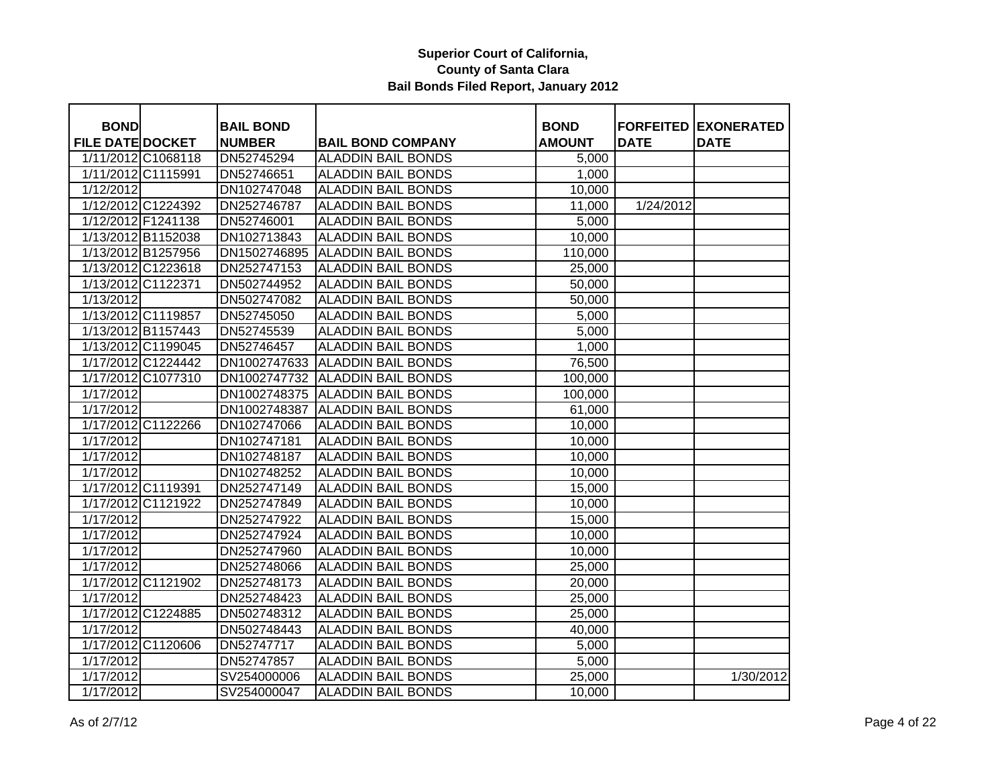| <b>BOND</b>             | <b>BAIL BOND</b> |                                 | <b>BOND</b>   |             | <b>FORFEITED EXONERATED</b> |
|-------------------------|------------------|---------------------------------|---------------|-------------|-----------------------------|
| <b>FILE DATE DOCKET</b> | <b>NUMBER</b>    | <b>BAIL BOND COMPANY</b>        | <b>AMOUNT</b> | <b>DATE</b> | <b>DATE</b>                 |
| 1/11/2012 C1068118      | DN52745294       | <b>ALADDIN BAIL BONDS</b>       | 5,000         |             |                             |
| 1/11/2012 C1115991      | DN52746651       | <b>ALADDIN BAIL BONDS</b>       | 1,000         |             |                             |
| 1/12/2012               | DN102747048      | <b>ALADDIN BAIL BONDS</b>       | 10,000        |             |                             |
| 1/12/2012 C1224392      | DN252746787      | <b>ALADDIN BAIL BONDS</b>       | 11,000        | 1/24/2012   |                             |
| 1/12/2012 F1241138      | DN52746001       | <b>ALADDIN BAIL BONDS</b>       | 5,000         |             |                             |
| 1/13/2012 B1152038      | DN102713843      | <b>ALADDIN BAIL BONDS</b>       | 10,000        |             |                             |
| 1/13/2012 B1257956      | DN1502746895     | <b>ALADDIN BAIL BONDS</b>       | 110,000       |             |                             |
| 1/13/2012 C1223618      | DN252747153      | <b>ALADDIN BAIL BONDS</b>       | 25,000        |             |                             |
| 1/13/2012 C1122371      | DN502744952      | <b>ALADDIN BAIL BONDS</b>       | 50,000        |             |                             |
| 1/13/2012               | DN502747082      | <b>ALADDIN BAIL BONDS</b>       | 50,000        |             |                             |
| 1/13/2012 C1119857      | DN52745050       | <b>ALADDIN BAIL BONDS</b>       | 5,000         |             |                             |
| 1/13/2012 B1157443      | DN52745539       | <b>ALADDIN BAIL BONDS</b>       | 5,000         |             |                             |
| 1/13/2012 C1199045      | DN52746457       | <b>ALADDIN BAIL BONDS</b>       | 1,000         |             |                             |
| 1/17/2012 C1224442      | DN1002747633     | <b>ALADDIN BAIL BONDS</b>       | 76,500        |             |                             |
| 1/17/2012 C1077310      |                  | DN1002747732 ALADDIN BAIL BONDS | 100,000       |             |                             |
| 1/17/2012               |                  | DN1002748375 ALADDIN BAIL BONDS | 100,000       |             |                             |
| 1/17/2012               | DN1002748387     | <b>ALADDIN BAIL BONDS</b>       | 61,000        |             |                             |
| 1/17/2012 C1122266      | DN102747066      | <b>ALADDIN BAIL BONDS</b>       | 10,000        |             |                             |
| 1/17/2012               | DN102747181      | <b>ALADDIN BAIL BONDS</b>       | 10,000        |             |                             |
| 1/17/2012               | DN102748187      | <b>ALADDIN BAIL BONDS</b>       | 10,000        |             |                             |
| 1/17/2012               | DN102748252      | <b>ALADDIN BAIL BONDS</b>       | 10,000        |             |                             |
| 1/17/2012 C1119391      | DN252747149      | <b>ALADDIN BAIL BONDS</b>       | 15,000        |             |                             |
| 1/17/2012 C1121922      | DN252747849      | <b>ALADDIN BAIL BONDS</b>       | 10,000        |             |                             |
| 1/17/2012               | DN252747922      | <b>ALADDIN BAIL BONDS</b>       | 15,000        |             |                             |
| 1/17/2012               | DN252747924      | <b>ALADDIN BAIL BONDS</b>       | 10,000        |             |                             |
| 1/17/2012               | DN252747960      | <b>ALADDIN BAIL BONDS</b>       | 10,000        |             |                             |
| 1/17/2012               | DN252748066      | <b>ALADDIN BAIL BONDS</b>       | 25,000        |             |                             |
| 1/17/2012 C1121902      | DN252748173      | <b>ALADDIN BAIL BONDS</b>       | 20,000        |             |                             |
| 1/17/2012               | DN252748423      | <b>ALADDIN BAIL BONDS</b>       | 25,000        |             |                             |
| 1/17/2012 C1224885      | DN502748312      | <b>ALADDIN BAIL BONDS</b>       | 25,000        |             |                             |
| 1/17/2012               | DN502748443      | <b>ALADDIN BAIL BONDS</b>       | 40,000        |             |                             |
| 1/17/2012 C1120606      | DN52747717       | <b>ALADDIN BAIL BONDS</b>       | 5,000         |             |                             |
| $\frac{1}{1}$ 17/2012   | DN52747857       | <b>ALADDIN BAIL BONDS</b>       | 5,000         |             |                             |
| 1/17/2012               | SV254000006      | <b>ALADDIN BAIL BONDS</b>       | 25,000        |             | 1/30/2012                   |
| 1/17/2012               | SV254000047      | <b>ALADDIN BAIL BONDS</b>       | 10,000        |             |                             |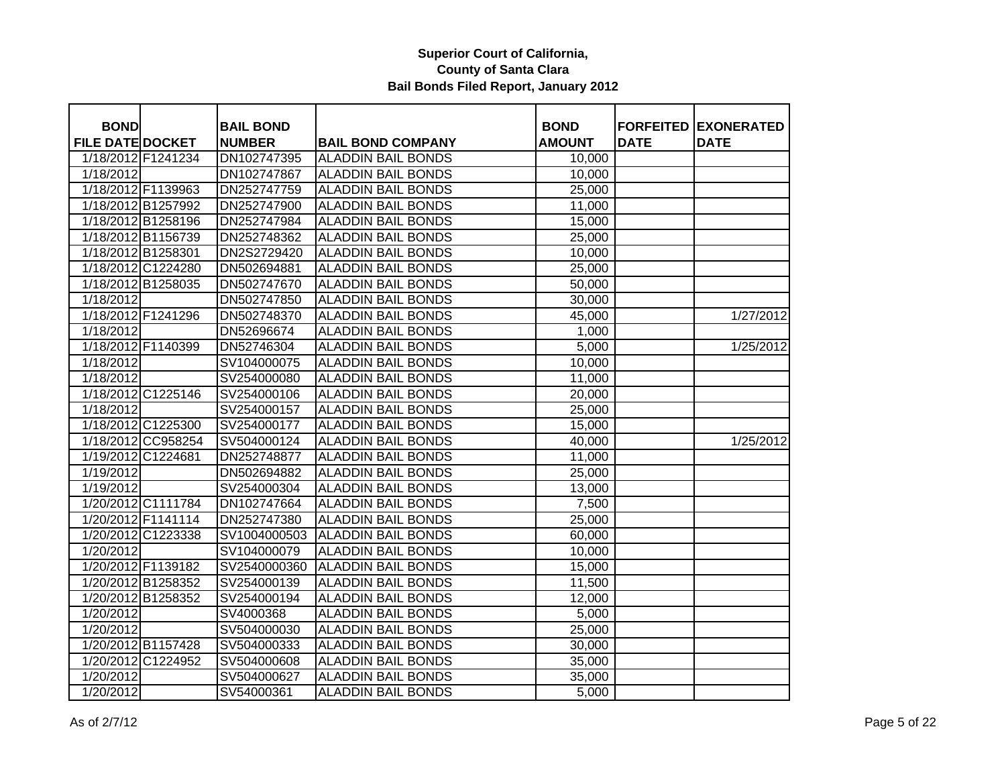| <b>BOND</b>             |                    | <b>BAIL BOND</b> |                           | <b>BOND</b>   |             | <b>FORFEITED EXONERATED</b> |
|-------------------------|--------------------|------------------|---------------------------|---------------|-------------|-----------------------------|
| <b>FILE DATE DOCKET</b> |                    | <b>NUMBER</b>    | <b>BAIL BOND COMPANY</b>  | <b>AMOUNT</b> | <b>DATE</b> | <b>DATE</b>                 |
| 1/18/2012 F1241234      |                    | DN102747395      | <b>ALADDIN BAIL BONDS</b> | 10,000        |             |                             |
| 1/18/2012               |                    | DN102747867      | <b>ALADDIN BAIL BONDS</b> | 10,000        |             |                             |
| 1/18/2012 F1139963      |                    | DN252747759      | <b>ALADDIN BAIL BONDS</b> | 25,000        |             |                             |
| 1/18/2012 B1257992      |                    | DN252747900      | <b>ALADDIN BAIL BONDS</b> | 11,000        |             |                             |
| 1/18/2012 B1258196      |                    | DN252747984      | <b>ALADDIN BAIL BONDS</b> | 15,000        |             |                             |
| 1/18/2012 B1156739      |                    | DN252748362      | <b>ALADDIN BAIL BONDS</b> | 25,000        |             |                             |
| 1/18/2012 B1258301      |                    | DN2S2729420      | <b>ALADDIN BAIL BONDS</b> | 10,000        |             |                             |
|                         | 1/18/2012 C1224280 | DN502694881      | <b>ALADDIN BAIL BONDS</b> | 25,000        |             |                             |
|                         | 1/18/2012 B1258035 | DN502747670      | <b>ALADDIN BAIL BONDS</b> | 50,000        |             |                             |
| $\frac{1}{1}$ 18/2012   |                    | DN502747850      | <b>ALADDIN BAIL BONDS</b> | 30,000        |             |                             |
| 1/18/2012 F1241296      |                    | DN502748370      | <b>ALADDIN BAIL BONDS</b> | 45,000        |             | 1/27/2012                   |
| 1/18/2012               |                    | DN52696674       | <b>ALADDIN BAIL BONDS</b> | 1,000         |             |                             |
| 1/18/2012 F1140399      |                    | DN52746304       | <b>ALADDIN BAIL BONDS</b> | 5,000         |             | 1/25/2012                   |
| 1/18/2012               |                    | SV104000075      | <b>ALADDIN BAIL BONDS</b> | 10,000        |             |                             |
| 1/18/2012               |                    | SV254000080      | <b>ALADDIN BAIL BONDS</b> | 11,000        |             |                             |
|                         | 1/18/2012 C1225146 | SV254000106      | <b>ALADDIN BAIL BONDS</b> | 20,000        |             |                             |
| 1/18/2012               |                    | SV254000157      | <b>ALADDIN BAIL BONDS</b> | 25,000        |             |                             |
|                         | 1/18/2012 C1225300 | SV254000177      | <b>ALADDIN BAIL BONDS</b> | 15,000        |             |                             |
|                         | 1/18/2012 CC958254 | SV504000124      | <b>ALADDIN BAIL BONDS</b> | 40,000        |             | 1/25/2012                   |
| 1/19/2012 C1224681      |                    | DN252748877      | <b>ALADDIN BAIL BONDS</b> | 11,000        |             |                             |
| 1/19/2012               |                    | DN502694882      | <b>ALADDIN BAIL BONDS</b> | 25,000        |             |                             |
| 1/19/2012               |                    | SV254000304      | <b>ALADDIN BAIL BONDS</b> | 13,000        |             |                             |
|                         | 1/20/2012 C1111784 | DN102747664      | <b>ALADDIN BAIL BONDS</b> | 7,500         |             |                             |
| 1/20/2012 F1141114      |                    | DN252747380      | <b>ALADDIN BAIL BONDS</b> | 25,000        |             |                             |
| 1/20/2012 C1223338      |                    | SV1004000503     | <b>ALADDIN BAIL BONDS</b> | 60,000        |             |                             |
| 1/20/2012               |                    | SV104000079      | <b>ALADDIN BAIL BONDS</b> | 10,000        |             |                             |
| 1/20/2012 F1139182      |                    | SV2540000360     | <b>ALADDIN BAIL BONDS</b> | 15,000        |             |                             |
|                         | 1/20/2012 B1258352 | SV254000139      | <b>ALADDIN BAIL BONDS</b> | 11,500        |             |                             |
| 1/20/2012 B1258352      |                    | SV254000194      | <b>ALADDIN BAIL BONDS</b> | 12,000        |             |                             |
| 1/20/2012               |                    | SV4000368        | <b>ALADDIN BAIL BONDS</b> | 5,000         |             |                             |
| 1/20/2012               |                    | SV504000030      | <b>ALADDIN BAIL BONDS</b> | 25,000        |             |                             |
| 1/20/2012 B1157428      |                    | SV504000333      | <b>ALADDIN BAIL BONDS</b> | 30,000        |             |                             |
|                         | 1/20/2012 C1224952 | SV504000608      | <b>ALADDIN BAIL BONDS</b> | 35,000        |             |                             |
| 1/20/2012               |                    | SV504000627      | <b>ALADDIN BAIL BONDS</b> | 35,000        |             |                             |
| 1/20/2012               |                    | SV54000361       | <b>ALADDIN BAIL BONDS</b> | 5,000         |             |                             |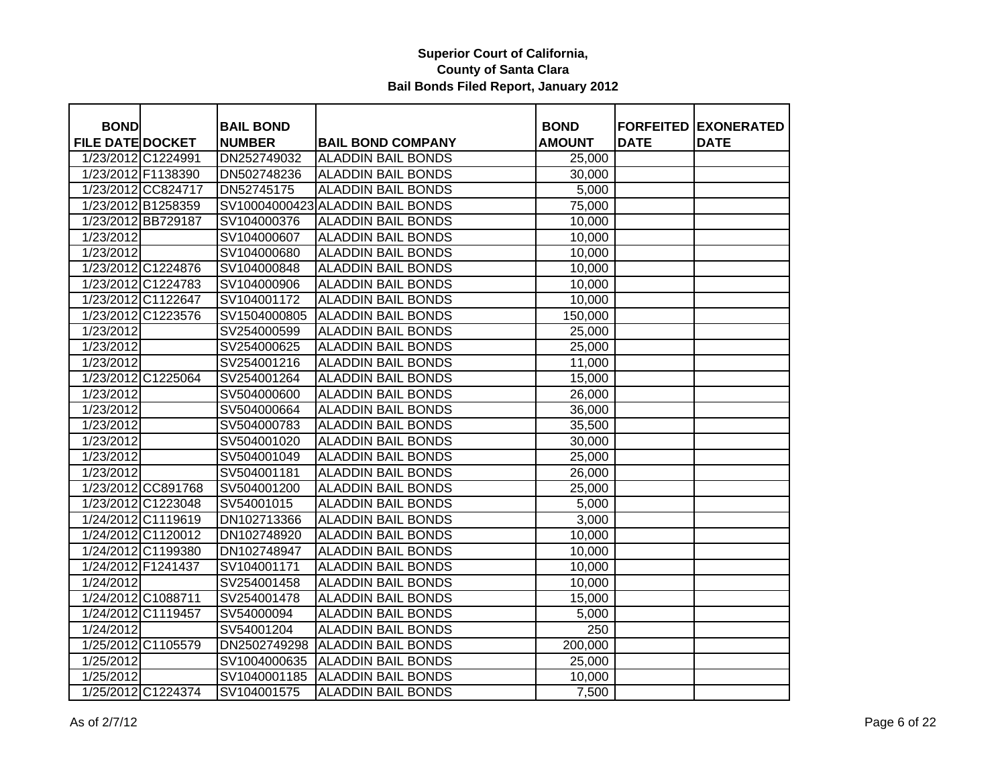| <b>BOND</b>             |                    | <b>BAIL BOND</b> |                                  | <b>BOND</b>   |             | <b>FORFEITED EXONERATED</b> |
|-------------------------|--------------------|------------------|----------------------------------|---------------|-------------|-----------------------------|
| <b>FILE DATE DOCKET</b> |                    | <b>NUMBER</b>    | <b>BAIL BOND COMPANY</b>         | <b>AMOUNT</b> | <b>DATE</b> | <b>DATE</b>                 |
| 1/23/2012 C1224991      |                    | DN252749032      | <b>ALADDIN BAIL BONDS</b>        | 25,000        |             |                             |
| 1/23/2012 F1138390      |                    | DN502748236      | <b>ALADDIN BAIL BONDS</b>        | 30,000        |             |                             |
|                         | 1/23/2012 CC824717 | DN52745175       | <b>ALADDIN BAIL BONDS</b>        | 5,000         |             |                             |
| 1/23/2012 B1258359      |                    |                  | SV10004000423 ALADDIN BAIL BONDS | 75,000        |             |                             |
|                         | 1/23/2012 BB729187 | SV104000376      | <b>ALADDIN BAIL BONDS</b>        | 10,000        |             |                             |
| 1/23/2012               |                    | SV104000607      | <b>ALADDIN BAIL BONDS</b>        | 10,000        |             |                             |
| 1/23/2012               |                    | SV104000680      | <b>ALADDIN BAIL BONDS</b>        | 10,000        |             |                             |
| 1/23/2012 C1224876      |                    | SV104000848      | <b>ALADDIN BAIL BONDS</b>        | 10,000        |             |                             |
|                         | 1/23/2012 C1224783 | SV104000906      | <b>ALADDIN BAIL BONDS</b>        | 10,000        |             |                             |
|                         | 1/23/2012 C1122647 | SV104001172      | <b>ALADDIN BAIL BONDS</b>        | 10,000        |             |                             |
|                         | 1/23/2012 C1223576 | SV1504000805     | <b>ALADDIN BAIL BONDS</b>        | 150,000       |             |                             |
| 1/23/2012               |                    | SV254000599      | <b>ALADDIN BAIL BONDS</b>        | 25,000        |             |                             |
| 1/23/2012               |                    | SV254000625      | <b>ALADDIN BAIL BONDS</b>        | 25,000        |             |                             |
| 1/23/2012               |                    | SV254001216      | <b>ALADDIN BAIL BONDS</b>        | 11,000        |             |                             |
|                         | 1/23/2012 C1225064 | SV254001264      | <b>ALADDIN BAIL BONDS</b>        | 15,000        |             |                             |
| 1/23/2012               |                    | SV504000600      | <b>ALADDIN BAIL BONDS</b>        | 26,000        |             |                             |
| 1/23/2012               |                    | SV504000664      | <b>ALADDIN BAIL BONDS</b>        | 36,000        |             |                             |
| 1/23/2012               |                    | SV504000783      | <b>ALADDIN BAIL BONDS</b>        | 35,500        |             |                             |
| 1/23/2012               |                    | SV504001020      | <b>ALADDIN BAIL BONDS</b>        | 30,000        |             |                             |
| 1/23/2012               |                    | SV504001049      | <b>ALADDIN BAIL BONDS</b>        | 25,000        |             |                             |
| 1/23/2012               |                    | SV504001181      | <b>ALADDIN BAIL BONDS</b>        | 26,000        |             |                             |
|                         | 1/23/2012 CC891768 | SV504001200      | <b>ALADDIN BAIL BONDS</b>        | 25,000        |             |                             |
|                         | 1/23/2012 C1223048 | SV54001015       | <b>ALADDIN BAIL BONDS</b>        | 5,000         |             |                             |
|                         | 1/24/2012 C1119619 | DN102713366      | <b>ALADDIN BAIL BONDS</b>        | 3,000         |             |                             |
| 1/24/2012 C1120012      |                    | DN102748920      | <b>ALADDIN BAIL BONDS</b>        | 10,000        |             |                             |
|                         | 1/24/2012 C1199380 | DN102748947      | <b>ALADDIN BAIL BONDS</b>        | 10,000        |             |                             |
| 1/24/2012 F1241437      |                    | SV104001171      | <b>ALADDIN BAIL BONDS</b>        | 10,000        |             |                             |
| 1/24/2012               |                    | SV254001458      | <b>ALADDIN BAIL BONDS</b>        | 10,000        |             |                             |
| 1/24/2012 C1088711      |                    | SV254001478      | <b>ALADDIN BAIL BONDS</b>        | 15,000        |             |                             |
| 1/24/2012 C1119457      |                    | SV54000094       | <b>ALADDIN BAIL BONDS</b>        | 5,000         |             |                             |
| 1/24/2012               |                    | SV54001204       | <b>ALADDIN BAIL BONDS</b>        | 250           |             |                             |
| 1/25/2012 C1105579      |                    | DN2502749298     | <b>ALADDIN BAIL BONDS</b>        | 200,000       |             |                             |
| 1/25/2012               |                    | SV1004000635     | <b>ALADDIN BAIL BONDS</b>        | 25,000        |             |                             |
| 1/25/2012               |                    | SV1040001185     | <b>ALADDIN BAIL BONDS</b>        | 10,000        |             |                             |
|                         | 1/25/2012 C1224374 | SV104001575      | <b>ALADDIN BAIL BONDS</b>        | 7,500         |             |                             |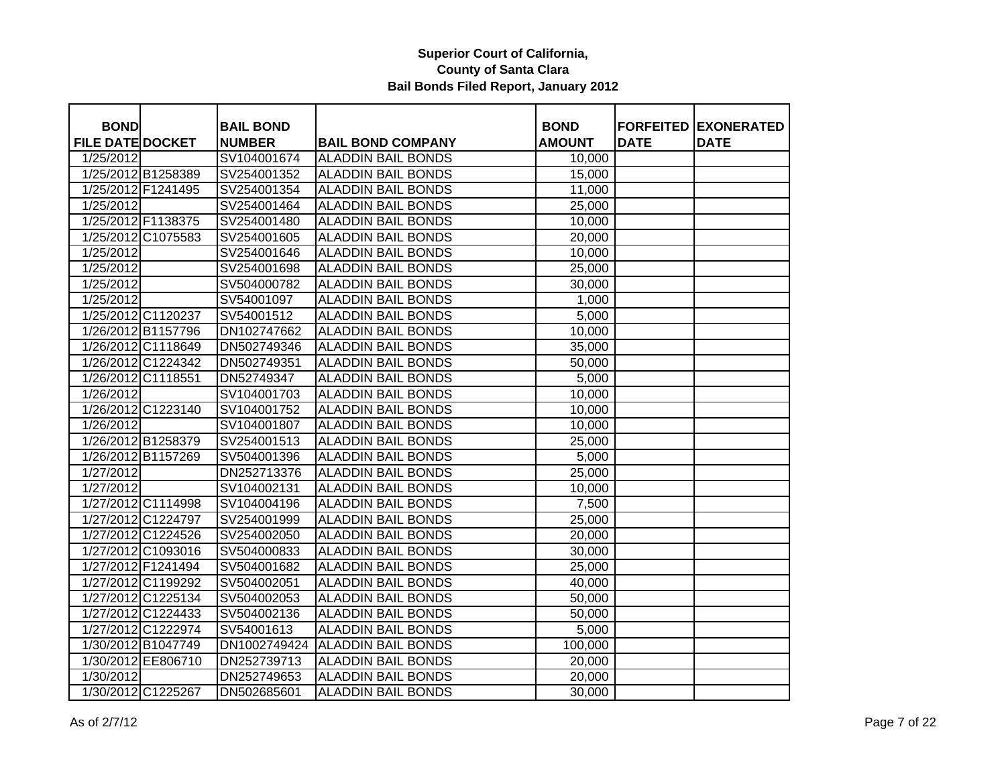| <b>BOND</b>             |                    | <b>BAIL BOND</b> |                           | <b>BOND</b>   |             | <b>FORFEITED EXONERATED</b> |
|-------------------------|--------------------|------------------|---------------------------|---------------|-------------|-----------------------------|
| <b>FILE DATE DOCKET</b> |                    | <b>NUMBER</b>    | <b>BAIL BOND COMPANY</b>  | <b>AMOUNT</b> | <b>DATE</b> | <b>DATE</b>                 |
| 1/25/2012               |                    | SV104001674      | <b>ALADDIN BAIL BONDS</b> | 10,000        |             |                             |
|                         | 1/25/2012 B1258389 | SV254001352      | <b>ALADDIN BAIL BONDS</b> | 15,000        |             |                             |
|                         | 1/25/2012 F1241495 | SV254001354      | <b>ALADDIN BAIL BONDS</b> | 11,000        |             |                             |
| 1/25/2012               |                    | SV254001464      | <b>ALADDIN BAIL BONDS</b> | 25,000        |             |                             |
|                         | 1/25/2012 F1138375 | SV254001480      | <b>ALADDIN BAIL BONDS</b> | 10,000        |             |                             |
|                         | 1/25/2012 C1075583 | SV254001605      | <b>ALADDIN BAIL BONDS</b> | 20,000        |             |                             |
| 1/25/2012               |                    | SV254001646      | <b>ALADDIN BAIL BONDS</b> | 10,000        |             |                             |
| 1/25/2012               |                    | SV254001698      | <b>ALADDIN BAIL BONDS</b> | 25,000        |             |                             |
| 1/25/2012               |                    | SV504000782      | <b>ALADDIN BAIL BONDS</b> | 30,000        |             |                             |
| 1/25/2012               |                    | SV54001097       | <b>ALADDIN BAIL BONDS</b> | 1,000         |             |                             |
|                         | 1/25/2012 C1120237 | SV54001512       | <b>ALADDIN BAIL BONDS</b> | 5,000         |             |                             |
|                         | 1/26/2012 B1157796 | DN102747662      | <b>ALADDIN BAIL BONDS</b> | 10,000        |             |                             |
|                         | 1/26/2012 C1118649 | DN502749346      | <b>ALADDIN BAIL BONDS</b> | 35,000        |             |                             |
|                         | 1/26/2012 C1224342 | DN502749351      | <b>ALADDIN BAIL BONDS</b> | 50,000        |             |                             |
|                         | 1/26/2012 C1118551 | DN52749347       | <b>ALADDIN BAIL BONDS</b> | 5,000         |             |                             |
| 1/26/2012               |                    | SV104001703      | <b>ALADDIN BAIL BONDS</b> | 10,000        |             |                             |
|                         | 1/26/2012 C1223140 | SV104001752      | <b>ALADDIN BAIL BONDS</b> | 10,000        |             |                             |
| 1/26/2012               |                    | SV104001807      | <b>ALADDIN BAIL BONDS</b> | 10,000        |             |                             |
|                         | 1/26/2012 B1258379 | SV254001513      | <b>ALADDIN BAIL BONDS</b> | 25,000        |             |                             |
|                         | 1/26/2012 B1157269 | SV504001396      | <b>ALADDIN BAIL BONDS</b> | 5,000         |             |                             |
| 1/27/2012               |                    | DN252713376      | <b>ALADDIN BAIL BONDS</b> | 25,000        |             |                             |
| 1/27/2012               |                    | SV104002131      | <b>ALADDIN BAIL BONDS</b> | 10,000        |             |                             |
|                         | 1/27/2012 C1114998 | SV104004196      | <b>ALADDIN BAIL BONDS</b> | 7,500         |             |                             |
|                         | 1/27/2012 C1224797 | SV254001999      | ALADDIN BAIL BONDS        | 25,000        |             |                             |
|                         | 1/27/2012 C1224526 | SV254002050      | <b>ALADDIN BAIL BONDS</b> | 20,000        |             |                             |
|                         | 1/27/2012 C1093016 | SV504000833      | <b>ALADDIN BAIL BONDS</b> | 30,000        |             |                             |
|                         | 1/27/2012 F1241494 | SV504001682      | <b>ALADDIN BAIL BONDS</b> | 25,000        |             |                             |
|                         | 1/27/2012 C1199292 | SV504002051      | <b>ALADDIN BAIL BONDS</b> | 40,000        |             |                             |
|                         | 1/27/2012 C1225134 | SV504002053      | <b>ALADDIN BAIL BONDS</b> | 50,000        |             |                             |
|                         | 1/27/2012 C1224433 | SV504002136      | <b>ALADDIN BAIL BONDS</b> | 50,000        |             |                             |
|                         | 1/27/2012 C1222974 | SV54001613       | <b>ALADDIN BAIL BONDS</b> | 5,000         |             |                             |
|                         | 1/30/2012 B1047749 | DN1002749424     | <b>ALADDIN BAIL BONDS</b> | 100,000       |             |                             |
|                         | 1/30/2012 EE806710 | DN252739713      | <b>ALADDIN BAIL BONDS</b> | 20,000        |             |                             |
| 1/30/2012               |                    | DN252749653      | <b>ALADDIN BAIL BONDS</b> | 20,000        |             |                             |
|                         | 1/30/2012 C1225267 | DN502685601      | <b>ALADDIN BAIL BONDS</b> | 30,000        |             |                             |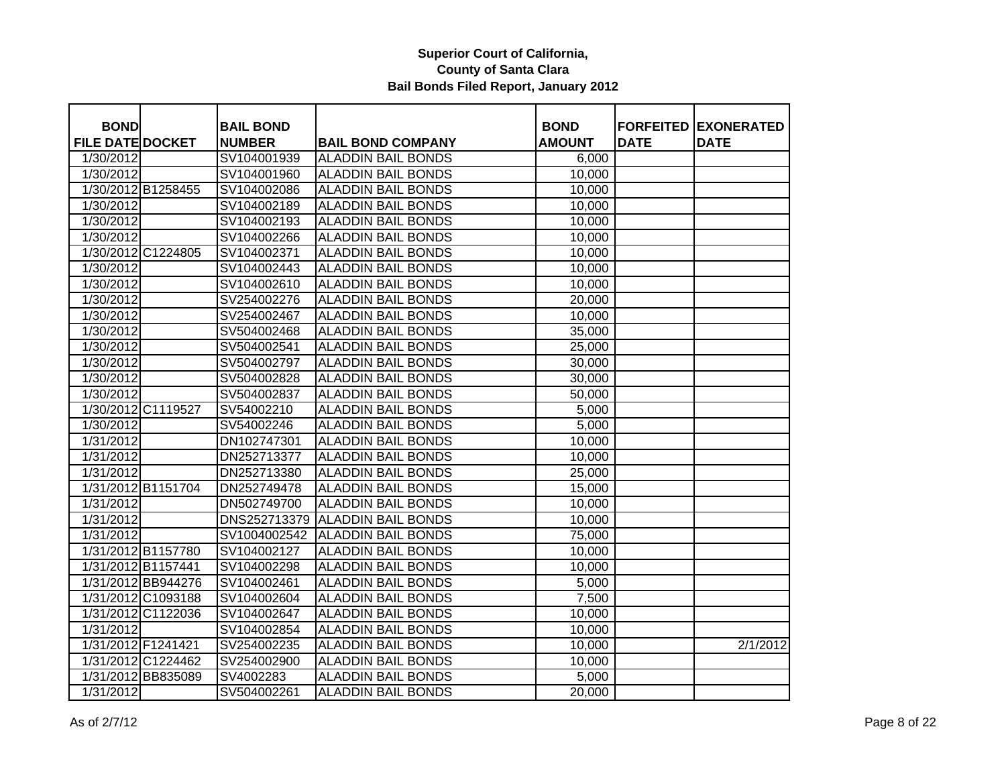| <b>BOND</b>             |                    | <b>BAIL BOND</b> |                           | <b>BOND</b>   | <b>FORFEITED</b> | <b>EXONERATED</b> |
|-------------------------|--------------------|------------------|---------------------------|---------------|------------------|-------------------|
| <b>FILE DATE DOCKET</b> |                    | <b>NUMBER</b>    | <b>BAIL BOND COMPANY</b>  | <b>AMOUNT</b> | <b>DATE</b>      | <b>DATE</b>       |
| 1/30/2012               |                    | SV104001939      | <b>ALADDIN BAIL BONDS</b> | 6,000         |                  |                   |
| 1/30/2012               |                    | SV104001960      | <b>ALADDIN BAIL BONDS</b> | 10,000        |                  |                   |
|                         | 1/30/2012 B1258455 | SV104002086      | <b>ALADDIN BAIL BONDS</b> | 10,000        |                  |                   |
| 1/30/2012               |                    | SV104002189      | <b>ALADDIN BAIL BONDS</b> | 10,000        |                  |                   |
| 1/30/2012               |                    | SV104002193      | <b>ALADDIN BAIL BONDS</b> | 10,000        |                  |                   |
| 1/30/2012               |                    | SV104002266      | <b>ALADDIN BAIL BONDS</b> | 10,000        |                  |                   |
|                         | 1/30/2012 C1224805 | SV104002371      | <b>ALADDIN BAIL BONDS</b> | 10,000        |                  |                   |
| 1/30/2012               |                    | SV104002443      | <b>ALADDIN BAIL BONDS</b> | 10,000        |                  |                   |
| 1/30/2012               |                    | SV104002610      | <b>ALADDIN BAIL BONDS</b> | 10,000        |                  |                   |
| 1/30/2012               |                    | SV254002276      | <b>ALADDIN BAIL BONDS</b> | 20,000        |                  |                   |
| 1/30/2012               |                    | SV254002467      | <b>ALADDIN BAIL BONDS</b> | 10,000        |                  |                   |
| 1/30/2012               |                    | SV504002468      | <b>ALADDIN BAIL BONDS</b> | 35,000        |                  |                   |
| 1/30/2012               |                    | SV504002541      | <b>ALADDIN BAIL BONDS</b> | 25,000        |                  |                   |
| 1/30/2012               |                    | SV504002797      | <b>ALADDIN BAIL BONDS</b> | 30,000        |                  |                   |
| 1/30/2012               |                    | SV504002828      | <b>ALADDIN BAIL BONDS</b> | 30,000        |                  |                   |
| 1/30/2012               |                    | SV504002837      | <b>ALADDIN BAIL BONDS</b> | 50,000        |                  |                   |
|                         | 1/30/2012 C1119527 | SV54002210       | <b>ALADDIN BAIL BONDS</b> | 5,000         |                  |                   |
| 1/30/2012               |                    | SV54002246       | <b>ALADDIN BAIL BONDS</b> | 5,000         |                  |                   |
| 1/31/2012               |                    | DN102747301      | <b>ALADDIN BAIL BONDS</b> | 10,000        |                  |                   |
| 1/31/2012               |                    | DN252713377      | <b>ALADDIN BAIL BONDS</b> | 10,000        |                  |                   |
| 1/31/2012               |                    | DN252713380      | <b>ALADDIN BAIL BONDS</b> | 25,000        |                  |                   |
|                         | 1/31/2012 B1151704 | DN252749478      | <b>ALADDIN BAIL BONDS</b> | 15,000        |                  |                   |
| 1/31/2012               |                    | DN502749700      | <b>ALADDIN BAIL BONDS</b> | 10,000        |                  |                   |
| 1/31/2012               |                    | DNS252713379     | <b>ALADDIN BAIL BONDS</b> | 10,000        |                  |                   |
| 1/31/2012               |                    | SV1004002542     | <b>ALADDIN BAIL BONDS</b> | 75,000        |                  |                   |
|                         | 1/31/2012 B1157780 | SV104002127      | <b>ALADDIN BAIL BONDS</b> | 10,000        |                  |                   |
| 1/31/2012 B1157441      |                    | SV104002298      | <b>ALADDIN BAIL BONDS</b> | 10,000        |                  |                   |
|                         | 1/31/2012 BB944276 | SV104002461      | <b>ALADDIN BAIL BONDS</b> | 5,000         |                  |                   |
|                         | 1/31/2012 C1093188 | SV104002604      | <b>ALADDIN BAIL BONDS</b> | 7,500         |                  |                   |
|                         | 1/31/2012 C1122036 | SV104002647      | <b>ALADDIN BAIL BONDS</b> | 10,000        |                  |                   |
| 1/31/2012               |                    | SV104002854      | <b>ALADDIN BAIL BONDS</b> | 10,000        |                  |                   |
| 1/31/2012 F1241421      |                    | SV254002235      | <b>ALADDIN BAIL BONDS</b> | 10,000        |                  | 2/1/2012          |
|                         | 1/31/2012 C1224462 | SV254002900      | <b>ALADDIN BAIL BONDS</b> | 10,000        |                  |                   |
|                         | 1/31/2012 BB835089 | SV4002283        | <b>ALADDIN BAIL BONDS</b> | 5,000         |                  |                   |
| 1/31/2012               |                    | SV504002261      | <b>ALADDIN BAIL BONDS</b> | 20,000        |                  |                   |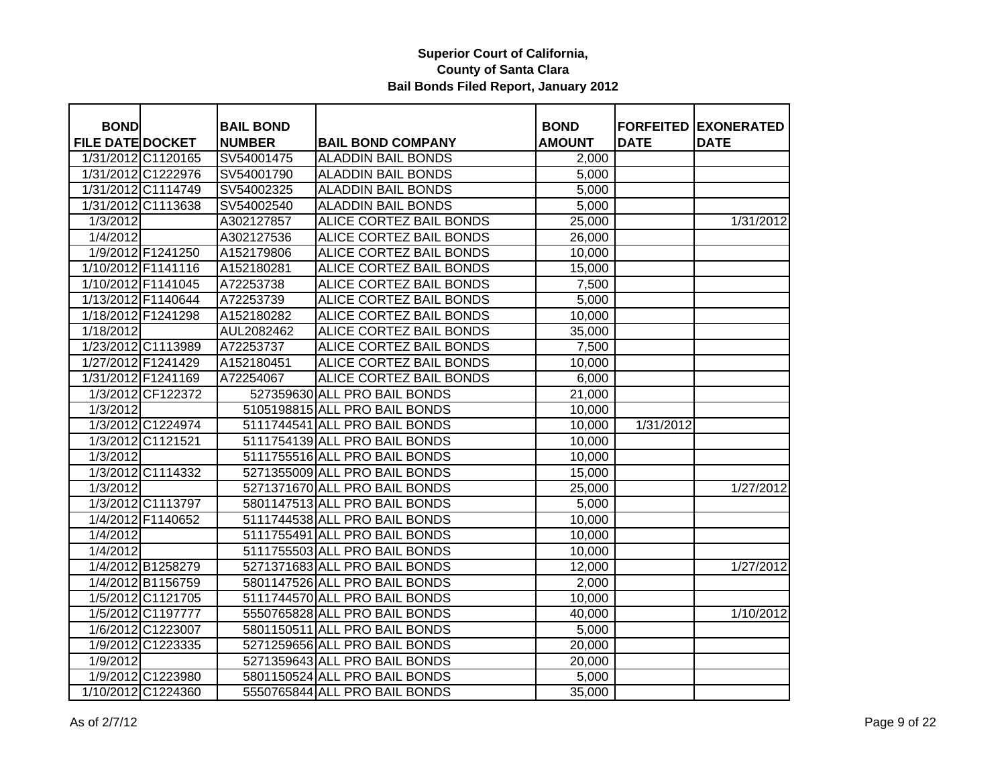| <b>FILE DATE DOCKET</b><br><b>NUMBER</b><br><b>BAIL BOND COMPANY</b><br><b>AMOUNT</b><br><b>DATE</b><br><b>DATE</b><br>1/31/2012 C1120165<br>SV54001475<br><b>ALADDIN BAIL BONDS</b><br>2,000<br>1/31/2012 C1222976<br>SV54001790<br><b>ALADDIN BAIL BONDS</b><br>5,000<br>1/31/2012 C1114749<br><b>ALADDIN BAIL BONDS</b><br>SV54002325<br>5,000<br>1/31/2012 C1113638<br><b>ALADDIN BAIL BONDS</b><br>SV54002540<br>5,000<br>1/3/2012<br>A302127857<br>ALICE CORTEZ BAIL BONDS<br>25,000<br>1/31/2012<br>1/4/2012<br><b>ALICE CORTEZ BAIL BONDS</b><br>A302127536<br>26,000<br>1/9/2012 F1241250<br>ALICE CORTEZ BAIL BONDS<br>A152179806<br>10,000<br>1/10/2012 F1141116<br><b>ALICE CORTEZ BAIL BONDS</b><br>A152180281<br>15,000<br>1/10/2012 F1141045<br><b>ALICE CORTEZ BAIL BONDS</b><br>A72253738<br>7,500<br>1/13/2012 F1140644<br>ALICE CORTEZ BAIL BONDS<br>A72253739<br>5,000<br>ALICE CORTEZ BAIL BONDS<br>1/18/2012 F1241298<br>A152180282<br>10,000<br>1/18/2012<br>AUL2082462<br>ALICE CORTEZ BAIL BONDS<br>35,000<br>1/23/2012 C1113989<br>A72253737<br><b>ALICE CORTEZ BAIL BONDS</b><br>7,500<br>1/27/2012 F1241429<br><b>ALICE CORTEZ BAIL BONDS</b><br>A152180451<br>10,000<br>1/31/2012 F1241169<br>A72254067<br>ALICE CORTEZ BAIL BONDS<br>6,000<br>1/3/2012 CF122372<br>527359630 ALL PRO BAIL BONDS<br>$\overline{21,000}$<br>5105198815 ALL PRO BAIL BONDS<br>1/3/2012<br>10,000<br>5111744541 ALL PRO BAIL BONDS<br>1/3/2012 C1224974<br>1/31/2012<br>10,000<br>1/3/2012 C1121521<br>5111754139 ALL PRO BAIL BONDS<br>10,000<br>1/3/2012<br>5111755516 ALL PRO BAIL BONDS<br>10,000<br>1/3/2012 C1114332<br>5271355009 ALL PRO BAIL BONDS<br>15,000<br>1/3/2012<br>5271371670 ALL PRO BAIL BONDS<br>25,000<br>1/27/2012<br>1/3/2012 C1113797<br>5801147513 ALL PRO BAIL BONDS<br>5,000<br>1/4/2012 F1140652<br>5111744538 ALL PRO BAIL BONDS<br>10,000<br>1/4/2012<br>5111755491 ALL PRO BAIL BONDS<br>10,000<br>$\sqrt{1/4/2012}$<br>5111755503 ALL PRO BAIL BONDS<br>10,000<br>1/4/2012 B1258279<br>5271371683 ALL PRO BAIL BONDS<br>12,000<br>1/27/2012<br>1/4/2012 B1156759<br>5801147526 ALL PRO BAIL BONDS<br>2,000<br>1/5/2012 C1121705<br>5111744570 ALL PRO BAIL BONDS<br>10,000<br>1/5/2012 C1197777<br>5550765828 ALL PRO BAIL BONDS<br>1/10/2012<br>40,000<br>1/6/2012 C1223007<br>5801150511 ALL PRO BAIL BONDS<br>5,000<br>5271259656 ALL PRO BAIL BONDS<br>1/9/2012 C1223335<br>20,000<br>1/9/2012<br>5271359643 ALL PRO BAIL BONDS<br>20,000<br>1/9/2012 C1223980<br>5801150524 ALL PRO BAIL BONDS<br>5,000 |             |                  |             |                  |                   |
|---------------------------------------------------------------------------------------------------------------------------------------------------------------------------------------------------------------------------------------------------------------------------------------------------------------------------------------------------------------------------------------------------------------------------------------------------------------------------------------------------------------------------------------------------------------------------------------------------------------------------------------------------------------------------------------------------------------------------------------------------------------------------------------------------------------------------------------------------------------------------------------------------------------------------------------------------------------------------------------------------------------------------------------------------------------------------------------------------------------------------------------------------------------------------------------------------------------------------------------------------------------------------------------------------------------------------------------------------------------------------------------------------------------------------------------------------------------------------------------------------------------------------------------------------------------------------------------------------------------------------------------------------------------------------------------------------------------------------------------------------------------------------------------------------------------------------------------------------------------------------------------------------------------------------------------------------------------------------------------------------------------------------------------------------------------------------------------------------------------------------------------------------------------------------------------------------------------------------------------------------------------------------------------------------------------------------------------------------------------------------------------------------------------------------------------------------------------------------------------------------------------------------------------------------------|-------------|------------------|-------------|------------------|-------------------|
|                                                                                                                                                                                                                                                                                                                                                                                                                                                                                                                                                                                                                                                                                                                                                                                                                                                                                                                                                                                                                                                                                                                                                                                                                                                                                                                                                                                                                                                                                                                                                                                                                                                                                                                                                                                                                                                                                                                                                                                                                                                                                                                                                                                                                                                                                                                                                                                                                                                                                                                                                         | <b>BOND</b> | <b>BAIL BOND</b> | <b>BOND</b> | <b>FORFEITED</b> | <b>EXONERATED</b> |
|                                                                                                                                                                                                                                                                                                                                                                                                                                                                                                                                                                                                                                                                                                                                                                                                                                                                                                                                                                                                                                                                                                                                                                                                                                                                                                                                                                                                                                                                                                                                                                                                                                                                                                                                                                                                                                                                                                                                                                                                                                                                                                                                                                                                                                                                                                                                                                                                                                                                                                                                                         |             |                  |             |                  |                   |
|                                                                                                                                                                                                                                                                                                                                                                                                                                                                                                                                                                                                                                                                                                                                                                                                                                                                                                                                                                                                                                                                                                                                                                                                                                                                                                                                                                                                                                                                                                                                                                                                                                                                                                                                                                                                                                                                                                                                                                                                                                                                                                                                                                                                                                                                                                                                                                                                                                                                                                                                                         |             |                  |             |                  |                   |
|                                                                                                                                                                                                                                                                                                                                                                                                                                                                                                                                                                                                                                                                                                                                                                                                                                                                                                                                                                                                                                                                                                                                                                                                                                                                                                                                                                                                                                                                                                                                                                                                                                                                                                                                                                                                                                                                                                                                                                                                                                                                                                                                                                                                                                                                                                                                                                                                                                                                                                                                                         |             |                  |             |                  |                   |
|                                                                                                                                                                                                                                                                                                                                                                                                                                                                                                                                                                                                                                                                                                                                                                                                                                                                                                                                                                                                                                                                                                                                                                                                                                                                                                                                                                                                                                                                                                                                                                                                                                                                                                                                                                                                                                                                                                                                                                                                                                                                                                                                                                                                                                                                                                                                                                                                                                                                                                                                                         |             |                  |             |                  |                   |
|                                                                                                                                                                                                                                                                                                                                                                                                                                                                                                                                                                                                                                                                                                                                                                                                                                                                                                                                                                                                                                                                                                                                                                                                                                                                                                                                                                                                                                                                                                                                                                                                                                                                                                                                                                                                                                                                                                                                                                                                                                                                                                                                                                                                                                                                                                                                                                                                                                                                                                                                                         |             |                  |             |                  |                   |
|                                                                                                                                                                                                                                                                                                                                                                                                                                                                                                                                                                                                                                                                                                                                                                                                                                                                                                                                                                                                                                                                                                                                                                                                                                                                                                                                                                                                                                                                                                                                                                                                                                                                                                                                                                                                                                                                                                                                                                                                                                                                                                                                                                                                                                                                                                                                                                                                                                                                                                                                                         |             |                  |             |                  |                   |
|                                                                                                                                                                                                                                                                                                                                                                                                                                                                                                                                                                                                                                                                                                                                                                                                                                                                                                                                                                                                                                                                                                                                                                                                                                                                                                                                                                                                                                                                                                                                                                                                                                                                                                                                                                                                                                                                                                                                                                                                                                                                                                                                                                                                                                                                                                                                                                                                                                                                                                                                                         |             |                  |             |                  |                   |
|                                                                                                                                                                                                                                                                                                                                                                                                                                                                                                                                                                                                                                                                                                                                                                                                                                                                                                                                                                                                                                                                                                                                                                                                                                                                                                                                                                                                                                                                                                                                                                                                                                                                                                                                                                                                                                                                                                                                                                                                                                                                                                                                                                                                                                                                                                                                                                                                                                                                                                                                                         |             |                  |             |                  |                   |
|                                                                                                                                                                                                                                                                                                                                                                                                                                                                                                                                                                                                                                                                                                                                                                                                                                                                                                                                                                                                                                                                                                                                                                                                                                                                                                                                                                                                                                                                                                                                                                                                                                                                                                                                                                                                                                                                                                                                                                                                                                                                                                                                                                                                                                                                                                                                                                                                                                                                                                                                                         |             |                  |             |                  |                   |
|                                                                                                                                                                                                                                                                                                                                                                                                                                                                                                                                                                                                                                                                                                                                                                                                                                                                                                                                                                                                                                                                                                                                                                                                                                                                                                                                                                                                                                                                                                                                                                                                                                                                                                                                                                                                                                                                                                                                                                                                                                                                                                                                                                                                                                                                                                                                                                                                                                                                                                                                                         |             |                  |             |                  |                   |
|                                                                                                                                                                                                                                                                                                                                                                                                                                                                                                                                                                                                                                                                                                                                                                                                                                                                                                                                                                                                                                                                                                                                                                                                                                                                                                                                                                                                                                                                                                                                                                                                                                                                                                                                                                                                                                                                                                                                                                                                                                                                                                                                                                                                                                                                                                                                                                                                                                                                                                                                                         |             |                  |             |                  |                   |
|                                                                                                                                                                                                                                                                                                                                                                                                                                                                                                                                                                                                                                                                                                                                                                                                                                                                                                                                                                                                                                                                                                                                                                                                                                                                                                                                                                                                                                                                                                                                                                                                                                                                                                                                                                                                                                                                                                                                                                                                                                                                                                                                                                                                                                                                                                                                                                                                                                                                                                                                                         |             |                  |             |                  |                   |
|                                                                                                                                                                                                                                                                                                                                                                                                                                                                                                                                                                                                                                                                                                                                                                                                                                                                                                                                                                                                                                                                                                                                                                                                                                                                                                                                                                                                                                                                                                                                                                                                                                                                                                                                                                                                                                                                                                                                                                                                                                                                                                                                                                                                                                                                                                                                                                                                                                                                                                                                                         |             |                  |             |                  |                   |
|                                                                                                                                                                                                                                                                                                                                                                                                                                                                                                                                                                                                                                                                                                                                                                                                                                                                                                                                                                                                                                                                                                                                                                                                                                                                                                                                                                                                                                                                                                                                                                                                                                                                                                                                                                                                                                                                                                                                                                                                                                                                                                                                                                                                                                                                                                                                                                                                                                                                                                                                                         |             |                  |             |                  |                   |
|                                                                                                                                                                                                                                                                                                                                                                                                                                                                                                                                                                                                                                                                                                                                                                                                                                                                                                                                                                                                                                                                                                                                                                                                                                                                                                                                                                                                                                                                                                                                                                                                                                                                                                                                                                                                                                                                                                                                                                                                                                                                                                                                                                                                                                                                                                                                                                                                                                                                                                                                                         |             |                  |             |                  |                   |
|                                                                                                                                                                                                                                                                                                                                                                                                                                                                                                                                                                                                                                                                                                                                                                                                                                                                                                                                                                                                                                                                                                                                                                                                                                                                                                                                                                                                                                                                                                                                                                                                                                                                                                                                                                                                                                                                                                                                                                                                                                                                                                                                                                                                                                                                                                                                                                                                                                                                                                                                                         |             |                  |             |                  |                   |
|                                                                                                                                                                                                                                                                                                                                                                                                                                                                                                                                                                                                                                                                                                                                                                                                                                                                                                                                                                                                                                                                                                                                                                                                                                                                                                                                                                                                                                                                                                                                                                                                                                                                                                                                                                                                                                                                                                                                                                                                                                                                                                                                                                                                                                                                                                                                                                                                                                                                                                                                                         |             |                  |             |                  |                   |
|                                                                                                                                                                                                                                                                                                                                                                                                                                                                                                                                                                                                                                                                                                                                                                                                                                                                                                                                                                                                                                                                                                                                                                                                                                                                                                                                                                                                                                                                                                                                                                                                                                                                                                                                                                                                                                                                                                                                                                                                                                                                                                                                                                                                                                                                                                                                                                                                                                                                                                                                                         |             |                  |             |                  |                   |
|                                                                                                                                                                                                                                                                                                                                                                                                                                                                                                                                                                                                                                                                                                                                                                                                                                                                                                                                                                                                                                                                                                                                                                                                                                                                                                                                                                                                                                                                                                                                                                                                                                                                                                                                                                                                                                                                                                                                                                                                                                                                                                                                                                                                                                                                                                                                                                                                                                                                                                                                                         |             |                  |             |                  |                   |
|                                                                                                                                                                                                                                                                                                                                                                                                                                                                                                                                                                                                                                                                                                                                                                                                                                                                                                                                                                                                                                                                                                                                                                                                                                                                                                                                                                                                                                                                                                                                                                                                                                                                                                                                                                                                                                                                                                                                                                                                                                                                                                                                                                                                                                                                                                                                                                                                                                                                                                                                                         |             |                  |             |                  |                   |
|                                                                                                                                                                                                                                                                                                                                                                                                                                                                                                                                                                                                                                                                                                                                                                                                                                                                                                                                                                                                                                                                                                                                                                                                                                                                                                                                                                                                                                                                                                                                                                                                                                                                                                                                                                                                                                                                                                                                                                                                                                                                                                                                                                                                                                                                                                                                                                                                                                                                                                                                                         |             |                  |             |                  |                   |
|                                                                                                                                                                                                                                                                                                                                                                                                                                                                                                                                                                                                                                                                                                                                                                                                                                                                                                                                                                                                                                                                                                                                                                                                                                                                                                                                                                                                                                                                                                                                                                                                                                                                                                                                                                                                                                                                                                                                                                                                                                                                                                                                                                                                                                                                                                                                                                                                                                                                                                                                                         |             |                  |             |                  |                   |
|                                                                                                                                                                                                                                                                                                                                                                                                                                                                                                                                                                                                                                                                                                                                                                                                                                                                                                                                                                                                                                                                                                                                                                                                                                                                                                                                                                                                                                                                                                                                                                                                                                                                                                                                                                                                                                                                                                                                                                                                                                                                                                                                                                                                                                                                                                                                                                                                                                                                                                                                                         |             |                  |             |                  |                   |
|                                                                                                                                                                                                                                                                                                                                                                                                                                                                                                                                                                                                                                                                                                                                                                                                                                                                                                                                                                                                                                                                                                                                                                                                                                                                                                                                                                                                                                                                                                                                                                                                                                                                                                                                                                                                                                                                                                                                                                                                                                                                                                                                                                                                                                                                                                                                                                                                                                                                                                                                                         |             |                  |             |                  |                   |
|                                                                                                                                                                                                                                                                                                                                                                                                                                                                                                                                                                                                                                                                                                                                                                                                                                                                                                                                                                                                                                                                                                                                                                                                                                                                                                                                                                                                                                                                                                                                                                                                                                                                                                                                                                                                                                                                                                                                                                                                                                                                                                                                                                                                                                                                                                                                                                                                                                                                                                                                                         |             |                  |             |                  |                   |
|                                                                                                                                                                                                                                                                                                                                                                                                                                                                                                                                                                                                                                                                                                                                                                                                                                                                                                                                                                                                                                                                                                                                                                                                                                                                                                                                                                                                                                                                                                                                                                                                                                                                                                                                                                                                                                                                                                                                                                                                                                                                                                                                                                                                                                                                                                                                                                                                                                                                                                                                                         |             |                  |             |                  |                   |
|                                                                                                                                                                                                                                                                                                                                                                                                                                                                                                                                                                                                                                                                                                                                                                                                                                                                                                                                                                                                                                                                                                                                                                                                                                                                                                                                                                                                                                                                                                                                                                                                                                                                                                                                                                                                                                                                                                                                                                                                                                                                                                                                                                                                                                                                                                                                                                                                                                                                                                                                                         |             |                  |             |                  |                   |
|                                                                                                                                                                                                                                                                                                                                                                                                                                                                                                                                                                                                                                                                                                                                                                                                                                                                                                                                                                                                                                                                                                                                                                                                                                                                                                                                                                                                                                                                                                                                                                                                                                                                                                                                                                                                                                                                                                                                                                                                                                                                                                                                                                                                                                                                                                                                                                                                                                                                                                                                                         |             |                  |             |                  |                   |
|                                                                                                                                                                                                                                                                                                                                                                                                                                                                                                                                                                                                                                                                                                                                                                                                                                                                                                                                                                                                                                                                                                                                                                                                                                                                                                                                                                                                                                                                                                                                                                                                                                                                                                                                                                                                                                                                                                                                                                                                                                                                                                                                                                                                                                                                                                                                                                                                                                                                                                                                                         |             |                  |             |                  |                   |
|                                                                                                                                                                                                                                                                                                                                                                                                                                                                                                                                                                                                                                                                                                                                                                                                                                                                                                                                                                                                                                                                                                                                                                                                                                                                                                                                                                                                                                                                                                                                                                                                                                                                                                                                                                                                                                                                                                                                                                                                                                                                                                                                                                                                                                                                                                                                                                                                                                                                                                                                                         |             |                  |             |                  |                   |
|                                                                                                                                                                                                                                                                                                                                                                                                                                                                                                                                                                                                                                                                                                                                                                                                                                                                                                                                                                                                                                                                                                                                                                                                                                                                                                                                                                                                                                                                                                                                                                                                                                                                                                                                                                                                                                                                                                                                                                                                                                                                                                                                                                                                                                                                                                                                                                                                                                                                                                                                                         |             |                  |             |                  |                   |
|                                                                                                                                                                                                                                                                                                                                                                                                                                                                                                                                                                                                                                                                                                                                                                                                                                                                                                                                                                                                                                                                                                                                                                                                                                                                                                                                                                                                                                                                                                                                                                                                                                                                                                                                                                                                                                                                                                                                                                                                                                                                                                                                                                                                                                                                                                                                                                                                                                                                                                                                                         |             |                  |             |                  |                   |
|                                                                                                                                                                                                                                                                                                                                                                                                                                                                                                                                                                                                                                                                                                                                                                                                                                                                                                                                                                                                                                                                                                                                                                                                                                                                                                                                                                                                                                                                                                                                                                                                                                                                                                                                                                                                                                                                                                                                                                                                                                                                                                                                                                                                                                                                                                                                                                                                                                                                                                                                                         |             |                  |             |                  |                   |
|                                                                                                                                                                                                                                                                                                                                                                                                                                                                                                                                                                                                                                                                                                                                                                                                                                                                                                                                                                                                                                                                                                                                                                                                                                                                                                                                                                                                                                                                                                                                                                                                                                                                                                                                                                                                                                                                                                                                                                                                                                                                                                                                                                                                                                                                                                                                                                                                                                                                                                                                                         |             |                  |             |                  |                   |
|                                                                                                                                                                                                                                                                                                                                                                                                                                                                                                                                                                                                                                                                                                                                                                                                                                                                                                                                                                                                                                                                                                                                                                                                                                                                                                                                                                                                                                                                                                                                                                                                                                                                                                                                                                                                                                                                                                                                                                                                                                                                                                                                                                                                                                                                                                                                                                                                                                                                                                                                                         |             |                  |             |                  |                   |
| 1/10/2012 C1224360<br>5550765844 ALL PRO BAIL BONDS<br>35,000                                                                                                                                                                                                                                                                                                                                                                                                                                                                                                                                                                                                                                                                                                                                                                                                                                                                                                                                                                                                                                                                                                                                                                                                                                                                                                                                                                                                                                                                                                                                                                                                                                                                                                                                                                                                                                                                                                                                                                                                                                                                                                                                                                                                                                                                                                                                                                                                                                                                                           |             |                  |             |                  |                   |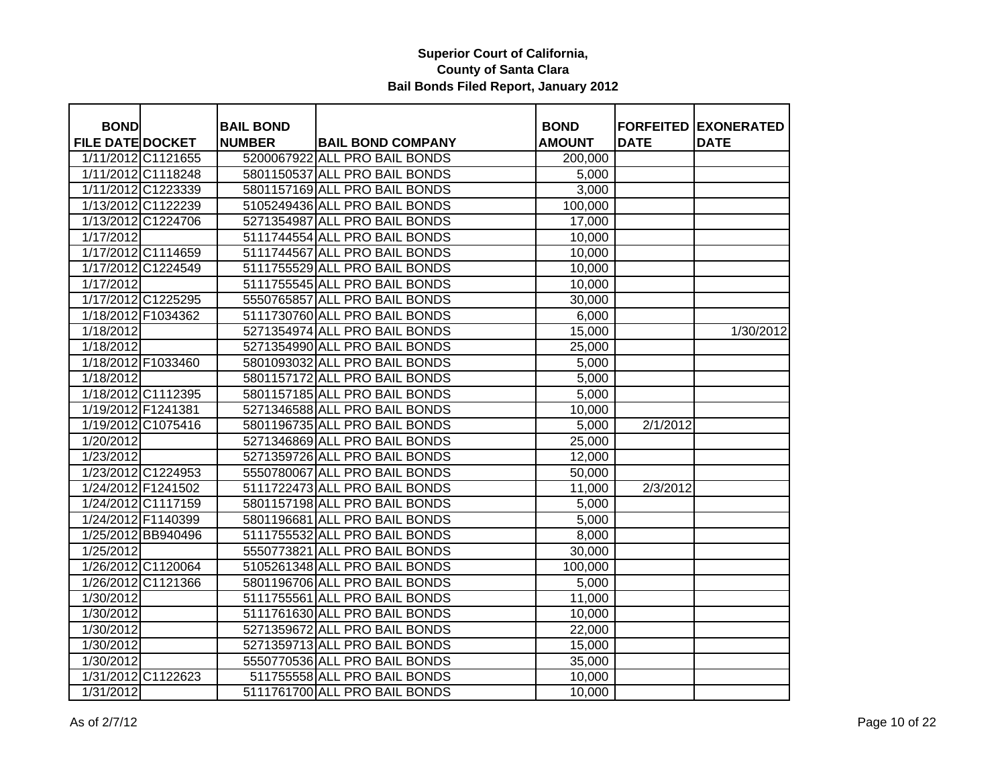| <b>BOND</b><br><b>BAIL BOND</b><br><b>BOND</b><br><b>FORFEITED EXONERATED</b><br><b>FILE DATE DOCKET</b><br><b>NUMBER</b><br><b>BAIL BOND COMPANY</b><br><b>AMOUNT</b><br><b>DATE</b><br><b>DATE</b><br>1/11/2012 C1121655<br>5200067922 ALL PRO BAIL BONDS<br>200,000<br>1/11/2012 C1118248<br>5801150537 ALL PRO BAIL BONDS<br>5,000<br>1/11/2012 C1223339<br>5801157169 ALL PRO BAIL BONDS<br>3,000<br>1/13/2012 C1122239<br>5105249436 ALL PRO BAIL BONDS<br>100,000 |           |
|--------------------------------------------------------------------------------------------------------------------------------------------------------------------------------------------------------------------------------------------------------------------------------------------------------------------------------------------------------------------------------------------------------------------------------------------------------------------------|-----------|
|                                                                                                                                                                                                                                                                                                                                                                                                                                                                          |           |
|                                                                                                                                                                                                                                                                                                                                                                                                                                                                          |           |
|                                                                                                                                                                                                                                                                                                                                                                                                                                                                          |           |
|                                                                                                                                                                                                                                                                                                                                                                                                                                                                          |           |
|                                                                                                                                                                                                                                                                                                                                                                                                                                                                          |           |
|                                                                                                                                                                                                                                                                                                                                                                                                                                                                          |           |
| 1/13/2012 C1224706<br>5271354987 ALL PRO BAIL BONDS<br>17,000                                                                                                                                                                                                                                                                                                                                                                                                            |           |
| 5111744554 ALL PRO BAIL BONDS<br>1/17/2012<br>10,000                                                                                                                                                                                                                                                                                                                                                                                                                     |           |
| 1/17/2012 C1114659<br>5111744567 ALL PRO BAIL BONDS<br>10,000                                                                                                                                                                                                                                                                                                                                                                                                            |           |
| 1/17/2012 C1224549<br>5111755529 ALL PRO BAIL BONDS<br>10,000                                                                                                                                                                                                                                                                                                                                                                                                            |           |
| 1/17/2012<br>5111755545 ALL PRO BAIL BONDS<br>10,000                                                                                                                                                                                                                                                                                                                                                                                                                     |           |
| 1/17/2012 C1225295<br>5550765857 ALL PRO BAIL BONDS<br>30,000                                                                                                                                                                                                                                                                                                                                                                                                            |           |
| 1/18/2012 F1034362<br>5111730760 ALL PRO BAIL BONDS<br>6,000                                                                                                                                                                                                                                                                                                                                                                                                             |           |
| 5271354974 ALL PRO BAIL BONDS<br>1/18/2012<br>15,000                                                                                                                                                                                                                                                                                                                                                                                                                     | 1/30/2012 |
| 1/18/2012<br>5271354990 ALL PRO BAIL BONDS<br>25,000                                                                                                                                                                                                                                                                                                                                                                                                                     |           |
| 1/18/2012 F1033460<br>5801093032 ALL PRO BAIL BONDS<br>5,000                                                                                                                                                                                                                                                                                                                                                                                                             |           |
| 1/18/2012<br>5801157172 ALL PRO BAIL BONDS<br>5,000                                                                                                                                                                                                                                                                                                                                                                                                                      |           |
| 1/18/2012 C1112395<br>5801157185 ALL PRO BAIL BONDS<br>5,000                                                                                                                                                                                                                                                                                                                                                                                                             |           |
| 5271346588 ALL PRO BAIL BONDS<br>1/19/2012 F1241381<br>10,000                                                                                                                                                                                                                                                                                                                                                                                                            |           |
| 1/19/2012 C1075416<br>5801196735 ALL PRO BAIL BONDS<br>2/1/2012<br>5,000                                                                                                                                                                                                                                                                                                                                                                                                 |           |
| 5271346869 ALL PRO BAIL BONDS<br>1/20/2012<br>25,000                                                                                                                                                                                                                                                                                                                                                                                                                     |           |
| 1/23/2012<br>5271359726 ALL PRO BAIL BONDS<br>12,000                                                                                                                                                                                                                                                                                                                                                                                                                     |           |
| 1/23/2012 C1224953<br>5550780067 ALL PRO BAIL BONDS<br>50,000                                                                                                                                                                                                                                                                                                                                                                                                            |           |
| 1/24/2012 F1241502<br>5111722473 ALL PRO BAIL BONDS<br>2/3/2012<br>11,000                                                                                                                                                                                                                                                                                                                                                                                                |           |
| 1/24/2012 C1117159<br>5801157198 ALL PRO BAIL BONDS<br>5,000                                                                                                                                                                                                                                                                                                                                                                                                             |           |
| 1/24/2012 F1140399<br>5801196681 ALL PRO BAIL BONDS<br>5,000                                                                                                                                                                                                                                                                                                                                                                                                             |           |
| 1/25/2012 BB940496<br>5111755532 ALL PRO BAIL BONDS<br>8,000                                                                                                                                                                                                                                                                                                                                                                                                             |           |
| 1/25/2012<br>5550773821 ALL PRO BAIL BONDS<br>30,000                                                                                                                                                                                                                                                                                                                                                                                                                     |           |
| 1/26/2012 C1120064<br>5105261348 ALL PRO BAIL BONDS<br>100,000                                                                                                                                                                                                                                                                                                                                                                                                           |           |
| 1/26/2012 C1121366<br>5801196706 ALL PRO BAIL BONDS<br>5,000                                                                                                                                                                                                                                                                                                                                                                                                             |           |
| 1/30/2012<br>5111755561 ALL PRO BAIL BONDS<br>11,000                                                                                                                                                                                                                                                                                                                                                                                                                     |           |
| 1/30/2012<br>5111761630 ALL PRO BAIL BONDS<br>10,000                                                                                                                                                                                                                                                                                                                                                                                                                     |           |
| 5271359672 ALL PRO BAIL BONDS<br>1/30/2012<br>22,000                                                                                                                                                                                                                                                                                                                                                                                                                     |           |
| 5271359713 ALL PRO BAIL BONDS<br>1/30/2012<br>15,000                                                                                                                                                                                                                                                                                                                                                                                                                     |           |
| 5550770536 ALL PRO BAIL BONDS<br>1/30/2012<br>35,000                                                                                                                                                                                                                                                                                                                                                                                                                     |           |
| 1/31/2012 C1122623<br>511755558 ALL PRO BAIL BONDS<br>10,000                                                                                                                                                                                                                                                                                                                                                                                                             |           |
| 1/31/2012<br>5111761700 ALL PRO BAIL BONDS<br>10,000                                                                                                                                                                                                                                                                                                                                                                                                                     |           |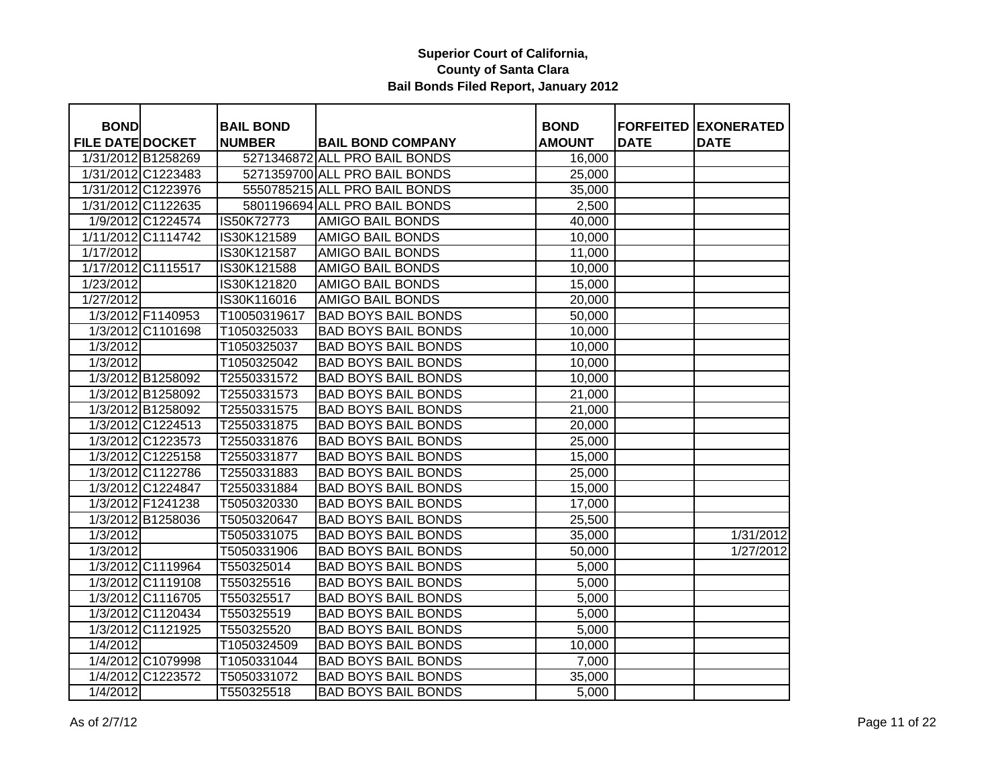| <b>BOND</b>             |                    | <b>BAIL BOND</b> |                               | <b>BOND</b>   |             | <b>FORFEITED EXONERATED</b> |
|-------------------------|--------------------|------------------|-------------------------------|---------------|-------------|-----------------------------|
| <b>FILE DATE DOCKET</b> |                    | <b>NUMBER</b>    | <b>BAIL BOND COMPANY</b>      | <b>AMOUNT</b> | <b>DATE</b> | <b>DATE</b>                 |
|                         | 1/31/2012 B1258269 |                  | 5271346872 ALL PRO BAIL BONDS | 16,000        |             |                             |
|                         | 1/31/2012 C1223483 |                  | 5271359700 ALL PRO BAIL BONDS | 25,000        |             |                             |
|                         | 1/31/2012 C1223976 |                  | 5550785215 ALL PRO BAIL BONDS | 35,000        |             |                             |
|                         | 1/31/2012 C1122635 |                  | 5801196694 ALL PRO BAIL BONDS | 2,500         |             |                             |
|                         | 1/9/2012 C1224574  | IS50K72773       | <b>AMIGO BAIL BONDS</b>       | 40,000        |             |                             |
|                         | 1/11/2012 C1114742 | IS30K121589      | <b>AMIGO BAIL BONDS</b>       | 10,000        |             |                             |
| 1/17/2012               |                    | IS30K121587      | <b>AMIGO BAIL BONDS</b>       | 11,000        |             |                             |
|                         | 1/17/2012 C1115517 | IS30K121588      | <b>AMIGO BAIL BONDS</b>       | 10,000        |             |                             |
| 1/23/2012               |                    | IS30K121820      | <b>AMIGO BAIL BONDS</b>       | 15,000        |             |                             |
| 1/27/2012               |                    | IS30K116016      | <b>AMIGO BAIL BONDS</b>       | 20,000        |             |                             |
|                         | 1/3/2012 F1140953  | T10050319617     | <b>BAD BOYS BAIL BONDS</b>    | 50,000        |             |                             |
|                         | 1/3/2012 C1101698  | T1050325033      | <b>BAD BOYS BAIL BONDS</b>    | 10,000        |             |                             |
| $\frac{1}{3}/2012$      |                    | T1050325037      | <b>BAD BOYS BAIL BONDS</b>    | 10,000        |             |                             |
| 1/3/2012                |                    | T1050325042      | <b>BAD BOYS BAIL BONDS</b>    | 10,000        |             |                             |
|                         | 1/3/2012 B1258092  | T2550331572      | <b>BAD BOYS BAIL BONDS</b>    | 10,000        |             |                             |
|                         | 1/3/2012 B1258092  | T2550331573      | <b>BAD BOYS BAIL BONDS</b>    | 21,000        |             |                             |
|                         | 1/3/2012 B1258092  | T2550331575      | <b>BAD BOYS BAIL BONDS</b>    | 21,000        |             |                             |
|                         | 1/3/2012 C1224513  | T2550331875      | <b>BAD BOYS BAIL BONDS</b>    | 20,000        |             |                             |
|                         | 1/3/2012 C1223573  | T2550331876      | <b>BAD BOYS BAIL BONDS</b>    | 25,000        |             |                             |
|                         | 1/3/2012 C1225158  | T2550331877      | <b>BAD BOYS BAIL BONDS</b>    | 15,000        |             |                             |
|                         | 1/3/2012 C1122786  | T2550331883      | <b>BAD BOYS BAIL BONDS</b>    | 25,000        |             |                             |
|                         | 1/3/2012 C1224847  | T2550331884      | <b>BAD BOYS BAIL BONDS</b>    | 15,000        |             |                             |
|                         | 1/3/2012 F1241238  | T5050320330      | <b>BAD BOYS BAIL BONDS</b>    | 17,000        |             |                             |
|                         | 1/3/2012 B1258036  | T5050320647      | <b>BAD BOYS BAIL BONDS</b>    | 25,500        |             |                             |
| 1/3/2012                |                    | T5050331075      | <b>BAD BOYS BAIL BONDS</b>    | 35,000        |             | 1/31/2012                   |
| $\frac{1}{3}/2012$      |                    | T5050331906      | <b>BAD BOYS BAIL BONDS</b>    | 50,000        |             | 1/27/2012                   |
|                         | 1/3/2012 C1119964  | T550325014       | <b>BAD BOYS BAIL BONDS</b>    | 5,000         |             |                             |
|                         | 1/3/2012 C1119108  | T550325516       | <b>BAD BOYS BAIL BONDS</b>    | 5,000         |             |                             |
|                         | 1/3/2012 C1116705  | T550325517       | <b>BAD BOYS BAIL BONDS</b>    | 5,000         |             |                             |
|                         | 1/3/2012 C1120434  | T550325519       | <b>BAD BOYS BAIL BONDS</b>    | 5,000         |             |                             |
|                         | 1/3/2012 C1121925  | T550325520       | <b>BAD BOYS BAIL BONDS</b>    | 5,000         |             |                             |
| 1/4/2012                |                    | T1050324509      | <b>BAD BOYS BAIL BONDS</b>    | 10,000        |             |                             |
|                         | 1/4/2012 C1079998  | T1050331044      | <b>BAD BOYS BAIL BONDS</b>    | 7,000         |             |                             |
|                         | 1/4/2012 C1223572  | T5050331072      | <b>BAD BOYS BAIL BONDS</b>    | 35,000        |             |                             |
| $\sqrt{1/4/2012}$       |                    | T550325518       | <b>BAD BOYS BAIL BONDS</b>    | 5,000         |             |                             |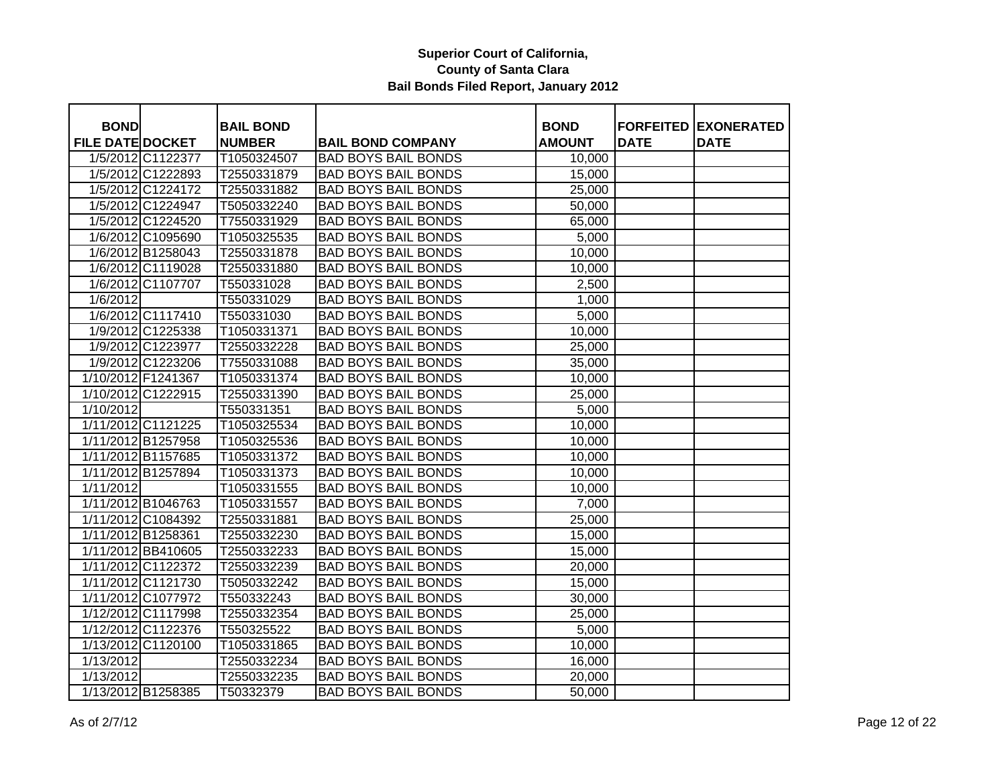| <b>BOND</b>             |                    | <b>BAIL BOND</b> |                            | <b>BOND</b>   |             | <b>FORFEITED EXONERATED</b> |
|-------------------------|--------------------|------------------|----------------------------|---------------|-------------|-----------------------------|
| <b>FILE DATE DOCKET</b> |                    | <b>NUMBER</b>    | <b>BAIL BOND COMPANY</b>   | <b>AMOUNT</b> | <b>DATE</b> | <b>DATE</b>                 |
|                         | 1/5/2012 C1122377  | T1050324507      | <b>BAD BOYS BAIL BONDS</b> | 10,000        |             |                             |
|                         | 1/5/2012 C1222893  | T2550331879      | <b>BAD BOYS BAIL BONDS</b> | 15,000        |             |                             |
|                         | 1/5/2012 C1224172  | T2550331882      | <b>BAD BOYS BAIL BONDS</b> | 25,000        |             |                             |
|                         | 1/5/2012 C1224947  | T5050332240      | <b>BAD BOYS BAIL BONDS</b> | 50,000        |             |                             |
|                         | 1/5/2012 C1224520  | T7550331929      | <b>BAD BOYS BAIL BONDS</b> | 65,000        |             |                             |
|                         | 1/6/2012 C1095690  | T1050325535      | <b>BAD BOYS BAIL BONDS</b> | 5,000         |             |                             |
|                         | 1/6/2012 B1258043  | T2550331878      | <b>BAD BOYS BAIL BONDS</b> | 10,000        |             |                             |
|                         | 1/6/2012 C1119028  | T2550331880      | <b>BAD BOYS BAIL BONDS</b> | 10,000        |             |                             |
|                         | 1/6/2012 C1107707  | T550331028       | <b>BAD BOYS BAIL BONDS</b> | 2,500         |             |                             |
| 1/6/2012                |                    | T550331029       | <b>BAD BOYS BAIL BONDS</b> | 1,000         |             |                             |
|                         | 1/6/2012 C1117410  | T550331030       | <b>BAD BOYS BAIL BONDS</b> | 5,000         |             |                             |
|                         | 1/9/2012 C1225338  | T1050331371      | <b>BAD BOYS BAIL BONDS</b> | 10,000        |             |                             |
|                         | 1/9/2012 C1223977  | T2550332228      | <b>BAD BOYS BAIL BONDS</b> | 25,000        |             |                             |
|                         | 1/9/2012 C1223206  | T7550331088      | <b>BAD BOYS BAIL BONDS</b> | 35,000        |             |                             |
| 1/10/2012 F1241367      |                    | T1050331374      | <b>BAD BOYS BAIL BONDS</b> | 10,000        |             |                             |
|                         | 1/10/2012 C1222915 | T2550331390      | <b>BAD BOYS BAIL BONDS</b> | 25,000        |             |                             |
| 1/10/2012               |                    | T550331351       | <b>BAD BOYS BAIL BONDS</b> | 5,000         |             |                             |
|                         | 1/11/2012 C1121225 | T1050325534      | <b>BAD BOYS BAIL BONDS</b> | 10,000        |             |                             |
|                         | 1/11/2012 B1257958 | T1050325536      | <b>BAD BOYS BAIL BONDS</b> | 10,000        |             |                             |
|                         | 1/11/2012 B1157685 | T1050331372      | <b>BAD BOYS BAIL BONDS</b> | 10,000        |             |                             |
|                         | 1/11/2012 B1257894 | T1050331373      | <b>BAD BOYS BAIL BONDS</b> | 10,000        |             |                             |
| 1/11/2012               |                    | T1050331555      | <b>BAD BOYS BAIL BONDS</b> | 10,000        |             |                             |
|                         | 1/11/2012 B1046763 | T1050331557      | <b>BAD BOYS BAIL BONDS</b> | 7,000         |             |                             |
|                         | 1/11/2012 C1084392 | T2550331881      | <b>BAD BOYS BAIL BONDS</b> | 25,000        |             |                             |
| 1/11/2012 B1258361      |                    | T2550332230      | <b>BAD BOYS BAIL BONDS</b> | 15,000        |             |                             |
|                         | 1/11/2012 BB410605 | T2550332233      | <b>BAD BOYS BAIL BONDS</b> | 15,000        |             |                             |
| 1/11/2012 C1122372      |                    | T2550332239      | <b>BAD BOYS BAIL BONDS</b> | 20,000        |             |                             |
|                         | 1/11/2012 C1121730 | T5050332242      | <b>BAD BOYS BAIL BONDS</b> | 15,000        |             |                             |
|                         | 1/11/2012 C1077972 | T550332243       | <b>BAD BOYS BAIL BONDS</b> | 30,000        |             |                             |
|                         | 1/12/2012 C1117998 | T2550332354      | <b>BAD BOYS BAIL BONDS</b> | 25,000        |             |                             |
|                         | 1/12/2012 C1122376 | T550325522       | <b>BAD BOYS BAIL BONDS</b> | 5,000         |             |                             |
| 1/13/2012 C1120100      |                    | T1050331865      | <b>BAD BOYS BAIL BONDS</b> | 10,000        |             |                             |
| 1/13/2012               |                    | T2550332234      | <b>BAD BOYS BAIL BONDS</b> | 16,000        |             |                             |
| 1/13/2012               |                    | T2550332235      | <b>BAD BOYS BAIL BONDS</b> | 20,000        |             |                             |
|                         | 1/13/2012 B1258385 | T50332379        | <b>BAD BOYS BAIL BONDS</b> | 50,000        |             |                             |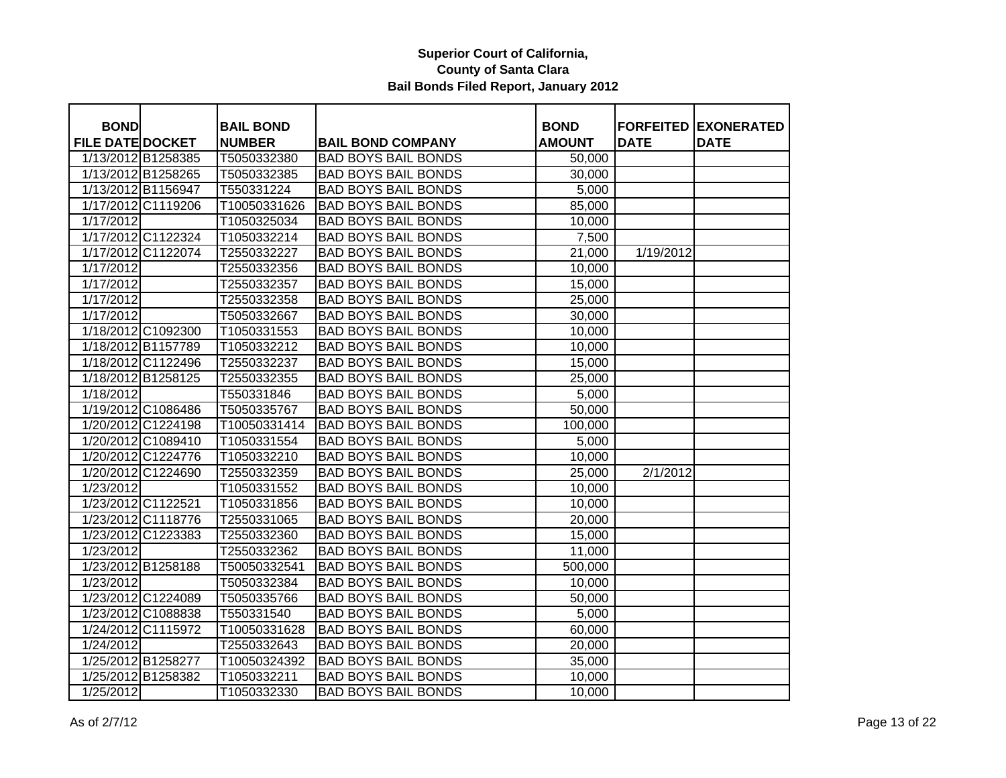| <b>BOND</b>             |                    | <b>BAIL BOND</b> |                            | <b>BOND</b>   |             | <b>FORFEITED EXONERATED</b> |
|-------------------------|--------------------|------------------|----------------------------|---------------|-------------|-----------------------------|
| <b>FILE DATE DOCKET</b> |                    | <b>NUMBER</b>    | <b>BAIL BOND COMPANY</b>   | <b>AMOUNT</b> | <b>DATE</b> | <b>DATE</b>                 |
| 1/13/2012 B1258385      |                    | T5050332380      | <b>BAD BOYS BAIL BONDS</b> | 50,000        |             |                             |
| 1/13/2012 B1258265      |                    | T5050332385      | <b>BAD BOYS BAIL BONDS</b> | 30,000        |             |                             |
| 1/13/2012 B1156947      |                    | T550331224       | <b>BAD BOYS BAIL BONDS</b> | 5,000         |             |                             |
| 1/17/2012 C1119206      |                    | T10050331626     | <b>BAD BOYS BAIL BONDS</b> | 85,000        |             |                             |
| 1/17/2012               |                    | T1050325034      | <b>BAD BOYS BAIL BONDS</b> | 10,000        |             |                             |
| 1/17/2012 C1122324      |                    | T1050332214      | <b>BAD BOYS BAIL BONDS</b> | 7,500         |             |                             |
| 1/17/2012 C1122074      |                    | T2550332227      | <b>BAD BOYS BAIL BONDS</b> | 21,000        | 1/19/2012   |                             |
| 1/17/2012               |                    | T2550332356      | <b>BAD BOYS BAIL BONDS</b> | 10,000        |             |                             |
| $\frac{1}{1}$ 17/2012   |                    | T2550332357      | <b>BAD BOYS BAIL BONDS</b> | 15,000        |             |                             |
| 1/17/2012               |                    | T2550332358      | <b>BAD BOYS BAIL BONDS</b> | 25,000        |             |                             |
| 1/17/2012               |                    | T5050332667      | <b>BAD BOYS BAIL BONDS</b> | 30,000        |             |                             |
| 1/18/2012 C1092300      |                    | T1050331553      | <b>BAD BOYS BAIL BONDS</b> | 10,000        |             |                             |
| 1/18/2012 B1157789      |                    | T1050332212      | <b>BAD BOYS BAIL BONDS</b> | 10,000        |             |                             |
| 1/18/2012 C1122496      |                    | T2550332237      | <b>BAD BOYS BAIL BONDS</b> | 15,000        |             |                             |
| 1/18/2012 B1258125      |                    | T2550332355      | <b>BAD BOYS BAIL BONDS</b> | 25,000        |             |                             |
| 1/18/2012               |                    | T550331846       | <b>BAD BOYS BAIL BONDS</b> | 5,000         |             |                             |
| 1/19/2012 C1086486      |                    | T5050335767      | <b>BAD BOYS BAIL BONDS</b> | 50,000        |             |                             |
| 1/20/2012 C1224198      |                    | T10050331414     | <b>BAD BOYS BAIL BONDS</b> | 100,000       |             |                             |
|                         | 1/20/2012 C1089410 | T1050331554      | <b>BAD BOYS BAIL BONDS</b> | 5,000         |             |                             |
| 1/20/2012 C1224776      |                    | T1050332210      | <b>BAD BOYS BAIL BONDS</b> | 10,000        |             |                             |
| 1/20/2012 C1224690      |                    | T2550332359      | <b>BAD BOYS BAIL BONDS</b> | 25,000        | 2/1/2012    |                             |
| $\sqrt{1/23/2012}$      |                    | T1050331552      | <b>BAD BOYS BAIL BONDS</b> | 10,000        |             |                             |
| 1/23/2012 C1122521      |                    | T1050331856      | <b>BAD BOYS BAIL BONDS</b> | 10,000        |             |                             |
| 1/23/2012 C1118776      |                    | T2550331065      | <b>BAD BOYS BAIL BONDS</b> | 20,000        |             |                             |
| 1/23/2012 C1223383      |                    | T2550332360      | <b>BAD BOYS BAIL BONDS</b> | 15,000        |             |                             |
| 1/23/2012               |                    | T2550332362      | <b>BAD BOYS BAIL BONDS</b> | 11,000        |             |                             |
| 1/23/2012 B1258188      |                    | T50050332541     | <b>BAD BOYS BAIL BONDS</b> | 500,000       |             |                             |
| 1/23/2012               |                    | T5050332384      | <b>BAD BOYS BAIL BONDS</b> | 10,000        |             |                             |
| 1/23/2012 C1224089      |                    | T5050335766      | <b>BAD BOYS BAIL BONDS</b> | 50,000        |             |                             |
| 1/23/2012 C1088838      |                    | T550331540       | <b>BAD BOYS BAIL BONDS</b> | 5,000         |             |                             |
| 1/24/2012 C1115972      |                    | T10050331628     | <b>BAD BOYS BAIL BONDS</b> | 60,000        |             |                             |
| 1/24/2012               |                    | T2550332643      | <b>BAD BOYS BAIL BONDS</b> | 20,000        |             |                             |
| 1/25/2012 B1258277      |                    | T10050324392     | <b>BAD BOYS BAIL BONDS</b> | 35,000        |             |                             |
| 1/25/2012 B1258382      |                    | T1050332211      | <b>BAD BOYS BAIL BONDS</b> | 10,000        |             |                             |
| $\overline{1/25/2012}$  |                    | T1050332330      | <b>BAD BOYS BAIL BONDS</b> | 10,000        |             |                             |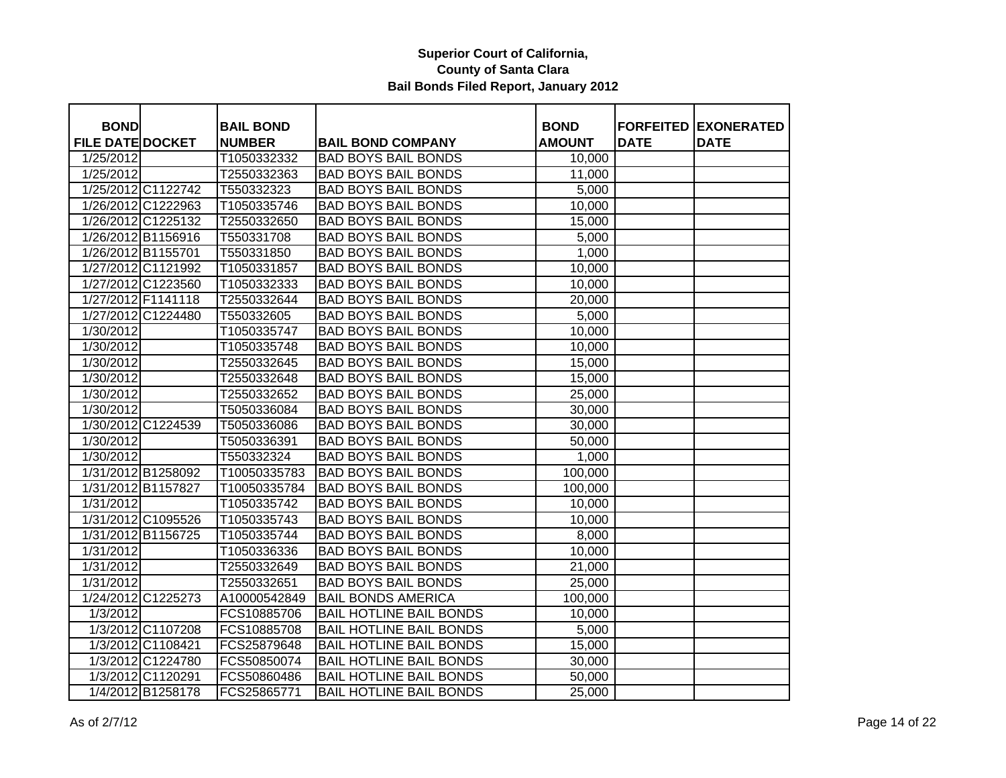| <b>BOND</b>             |                    | <b>BAIL BOND</b> |                                | <b>BOND</b>   |             | <b>FORFEITED EXONERATED</b> |
|-------------------------|--------------------|------------------|--------------------------------|---------------|-------------|-----------------------------|
| <b>FILE DATE DOCKET</b> |                    | <b>NUMBER</b>    | <b>BAIL BOND COMPANY</b>       | <b>AMOUNT</b> | <b>DATE</b> | <b>DATE</b>                 |
| 1/25/2012               |                    | T1050332332      | <b>BAD BOYS BAIL BONDS</b>     | 10,000        |             |                             |
| 1/25/2012               |                    | T2550332363      | <b>BAD BOYS BAIL BONDS</b>     | 11,000        |             |                             |
|                         | 1/25/2012 C1122742 | T550332323       | <b>BAD BOYS BAIL BONDS</b>     | 5,000         |             |                             |
|                         | 1/26/2012 C1222963 | T1050335746      | <b>BAD BOYS BAIL BONDS</b>     | 10,000        |             |                             |
|                         | 1/26/2012 C1225132 | T2550332650      | <b>BAD BOYS BAIL BONDS</b>     | 15,000        |             |                             |
|                         | 1/26/2012 B1156916 | T550331708       | <b>BAD BOYS BAIL BONDS</b>     | 5,000         |             |                             |
| 1/26/2012 B1155701      |                    | T550331850       | <b>BAD BOYS BAIL BONDS</b>     | 1,000         |             |                             |
|                         | 1/27/2012 C1121992 | T1050331857      | <b>BAD BOYS BAIL BONDS</b>     | 10,000        |             |                             |
|                         | 1/27/2012 C1223560 | T1050332333      | <b>BAD BOYS BAIL BONDS</b>     | 10,000        |             |                             |
|                         | 1/27/2012 F1141118 | T2550332644      | <b>BAD BOYS BAIL BONDS</b>     | 20,000        |             |                             |
|                         | 1/27/2012 C1224480 | T550332605       | <b>BAD BOYS BAIL BONDS</b>     | 5,000         |             |                             |
| 1/30/2012               |                    | T1050335747      | <b>BAD BOYS BAIL BONDS</b>     | 10,000        |             |                             |
| 1/30/2012               |                    | T1050335748      | <b>BAD BOYS BAIL BONDS</b>     | 10,000        |             |                             |
| 1/30/2012               |                    | T2550332645      | <b>BAD BOYS BAIL BONDS</b>     | 15,000        |             |                             |
| 1/30/2012               |                    | T2550332648      | <b>BAD BOYS BAIL BONDS</b>     | 15,000        |             |                             |
| 1/30/2012               |                    | T2550332652      | <b>BAD BOYS BAIL BONDS</b>     | 25,000        |             |                             |
| 1/30/2012               |                    | T5050336084      | <b>BAD BOYS BAIL BONDS</b>     | 30,000        |             |                             |
|                         | 1/30/2012 C1224539 | T5050336086      | <b>BAD BOYS BAIL BONDS</b>     | 30,000        |             |                             |
| 1/30/2012               |                    | T5050336391      | <b>BAD BOYS BAIL BONDS</b>     | 50,000        |             |                             |
| 1/30/2012               |                    | T550332324       | <b>BAD BOYS BAIL BONDS</b>     | 1,000         |             |                             |
|                         | 1/31/2012 B1258092 | T10050335783     | <b>BAD BOYS BAIL BONDS</b>     | 100,000       |             |                             |
| 1/31/2012 B1157827      |                    | T10050335784     | <b>BAD BOYS BAIL BONDS</b>     | 100,000       |             |                             |
| 1/31/2012               |                    | T1050335742      | <b>BAD BOYS BAIL BONDS</b>     | 10,000        |             |                             |
|                         | 1/31/2012 C1095526 | T1050335743      | <b>BAD BOYS BAIL BONDS</b>     | 10,000        |             |                             |
| 1/31/2012 B1156725      |                    | T1050335744      | <b>BAD BOYS BAIL BONDS</b>     | 8,000         |             |                             |
| 1/31/2012               |                    | T1050336336      | <b>BAD BOYS BAIL BONDS</b>     | 10,000        |             |                             |
| 1/31/2012               |                    | T2550332649      | <b>BAD BOYS BAIL BONDS</b>     | 21,000        |             |                             |
| 1/31/2012               |                    | T2550332651      | <b>BAD BOYS BAIL BONDS</b>     | 25,000        |             |                             |
|                         | 1/24/2012 C1225273 | A10000542849     | <b>BAIL BONDS AMERICA</b>      | 100,000       |             |                             |
| 1/3/2012                |                    | FCS10885706      | <b>BAIL HOTLINE BAIL BONDS</b> | 10,000        |             |                             |
|                         | 1/3/2012 C1107208  | FCS10885708      | <b>BAIL HOTLINE BAIL BONDS</b> | 5,000         |             |                             |
|                         | 1/3/2012 C1108421  | FCS25879648      | <b>BAIL HOTLINE BAIL BONDS</b> | 15,000        |             |                             |
|                         | 1/3/2012 C1224780  | FCS50850074      | <b>BAIL HOTLINE BAIL BONDS</b> | 30,000        |             |                             |
|                         | 1/3/2012 C1120291  | FCS50860486      | <b>BAIL HOTLINE BAIL BONDS</b> | 50,000        |             |                             |
|                         | 1/4/2012 B1258178  | FCS25865771      | <b>BAIL HOTLINE BAIL BONDS</b> | 25,000        |             |                             |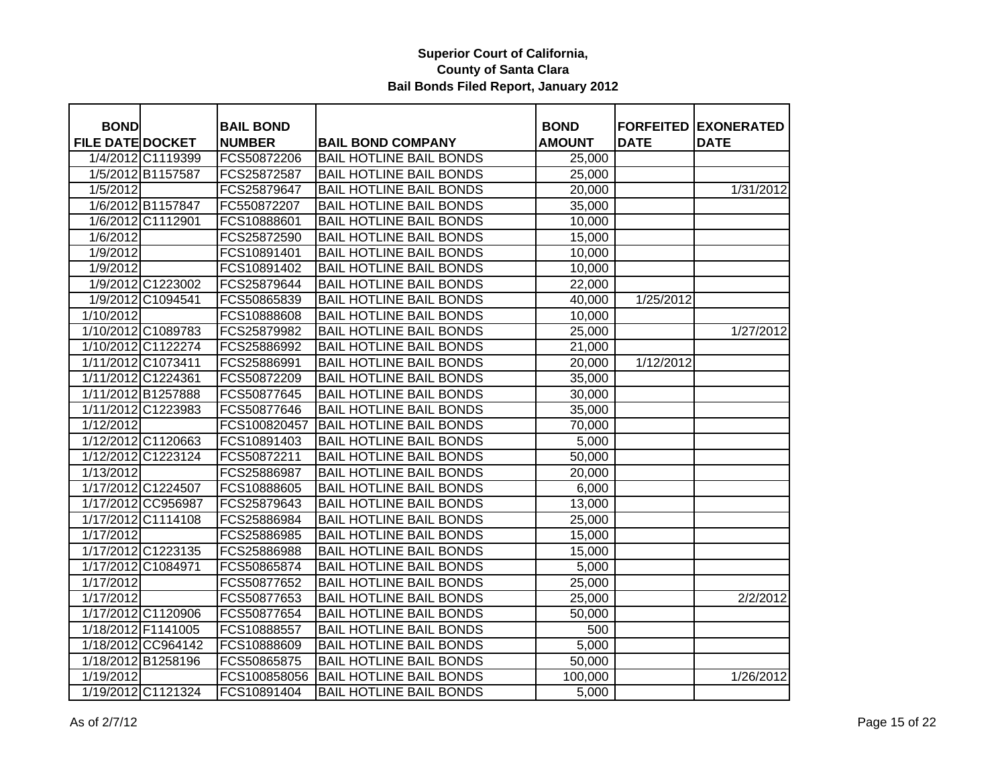| <b>BOND</b>             |                    | <b>BAIL BOND</b> |                                | <b>BOND</b>   |             | <b>FORFEITED EXONERATED</b> |
|-------------------------|--------------------|------------------|--------------------------------|---------------|-------------|-----------------------------|
| <b>FILE DATE DOCKET</b> |                    | <b>NUMBER</b>    | <b>BAIL BOND COMPANY</b>       | <b>AMOUNT</b> | <b>DATE</b> | <b>DATE</b>                 |
|                         | 1/4/2012 C1119399  | FCS50872206      | <b>BAIL HOTLINE BAIL BONDS</b> | 25,000        |             |                             |
|                         | 1/5/2012 B1157587  | FCS25872587      | <b>BAIL HOTLINE BAIL BONDS</b> | 25,000        |             |                             |
| 1/5/2012                |                    | FCS25879647      | <b>BAIL HOTLINE BAIL BONDS</b> | 20,000        |             | 1/31/2012                   |
|                         | 1/6/2012 B1157847  | FC550872207      | <b>BAIL HOTLINE BAIL BONDS</b> | 35,000        |             |                             |
|                         | 1/6/2012 C1112901  | FCS10888601      | <b>BAIL HOTLINE BAIL BONDS</b> | 10,000        |             |                             |
| 1/6/2012                |                    | FCS25872590      | <b>BAIL HOTLINE BAIL BONDS</b> | 15,000        |             |                             |
| 1/9/2012                |                    | FCS10891401      | <b>BAIL HOTLINE BAIL BONDS</b> | 10,000        |             |                             |
| 1/9/2012                |                    | FCS10891402      | <b>BAIL HOTLINE BAIL BONDS</b> | 10,000        |             |                             |
|                         | 1/9/2012 C1223002  | FCS25879644      | <b>BAIL HOTLINE BAIL BONDS</b> | 22,000        |             |                             |
|                         | 1/9/2012 C1094541  | FCS50865839      | <b>BAIL HOTLINE BAIL BONDS</b> | 40,000        | 1/25/2012   |                             |
| 1/10/2012               |                    | FCS10888608      | <b>BAIL HOTLINE BAIL BONDS</b> | 10,000        |             |                             |
|                         | 1/10/2012 C1089783 | FCS25879982      | <b>BAIL HOTLINE BAIL BONDS</b> | 25,000        |             | 1/27/2012                   |
|                         | 1/10/2012 C1122274 | FCS25886992      | <b>BAIL HOTLINE BAIL BONDS</b> | 21,000        |             |                             |
|                         | 1/11/2012 C1073411 | FCS25886991      | <b>BAIL HOTLINE BAIL BONDS</b> | 20,000        | 1/12/2012   |                             |
|                         | 1/11/2012 C1224361 | FCS50872209      | <b>BAIL HOTLINE BAIL BONDS</b> | 35,000        |             |                             |
|                         | 1/11/2012 B1257888 | FCS50877645      | <b>BAIL HOTLINE BAIL BONDS</b> | 30,000        |             |                             |
|                         | 1/11/2012 C1223983 | FCS50877646      | <b>BAIL HOTLINE BAIL BONDS</b> | 35,000        |             |                             |
| 1/12/2012               |                    | FCS100820457     | <b>BAIL HOTLINE BAIL BONDS</b> | 70,000        |             |                             |
|                         | 1/12/2012 C1120663 | FCS10891403      | <b>BAIL HOTLINE BAIL BONDS</b> | 5,000         |             |                             |
|                         | 1/12/2012 C1223124 | FCS50872211      | <b>BAIL HOTLINE BAIL BONDS</b> | 50,000        |             |                             |
| 1/13/2012               |                    | FCS25886987      | <b>BAIL HOTLINE BAIL BONDS</b> | 20,000        |             |                             |
|                         | 1/17/2012 C1224507 | FCS10888605      | <b>BAIL HOTLINE BAIL BONDS</b> | 6,000         |             |                             |
|                         | 1/17/2012 CC956987 | FCS25879643      | <b>BAIL HOTLINE BAIL BONDS</b> | 13,000        |             |                             |
|                         | 1/17/2012 C1114108 | FCS25886984      | <b>BAIL HOTLINE BAIL BONDS</b> | 25,000        |             |                             |
| 1/17/2012               |                    | FCS25886985      | <b>BAIL HOTLINE BAIL BONDS</b> | 15,000        |             |                             |
|                         | 1/17/2012 C1223135 | FCS25886988      | <b>BAIL HOTLINE BAIL BONDS</b> | 15,000        |             |                             |
| 1/17/2012 C1084971      |                    | FCS50865874      | <b>BAIL HOTLINE BAIL BONDS</b> | 5,000         |             |                             |
| 1/17/2012               |                    | FCS50877652      | <b>BAIL HOTLINE BAIL BONDS</b> | 25,000        |             |                             |
| 1/17/2012               |                    | FCS50877653      | <b>BAIL HOTLINE BAIL BONDS</b> | 25,000        |             | 2/2/2012                    |
|                         | 1/17/2012 C1120906 | FCS50877654      | <b>BAIL HOTLINE BAIL BONDS</b> | 50,000        |             |                             |
|                         | 1/18/2012 F1141005 | FCS10888557      | <b>BAIL HOTLINE BAIL BONDS</b> | 500           |             |                             |
|                         | 1/18/2012 CC964142 | FCS10888609      | <b>BAIL HOTLINE BAIL BONDS</b> | 5,000         |             |                             |
|                         | 1/18/2012 B1258196 | FCS50865875      | <b>BAIL HOTLINE BAIL BONDS</b> | 50,000        |             |                             |
| 1/19/2012               |                    | FCS100858056     | <b>BAIL HOTLINE BAIL BONDS</b> | 100,000       |             | 1/26/2012                   |
|                         | 1/19/2012 C1121324 | FCS10891404      | <b>BAIL HOTLINE BAIL BONDS</b> | 5,000         |             |                             |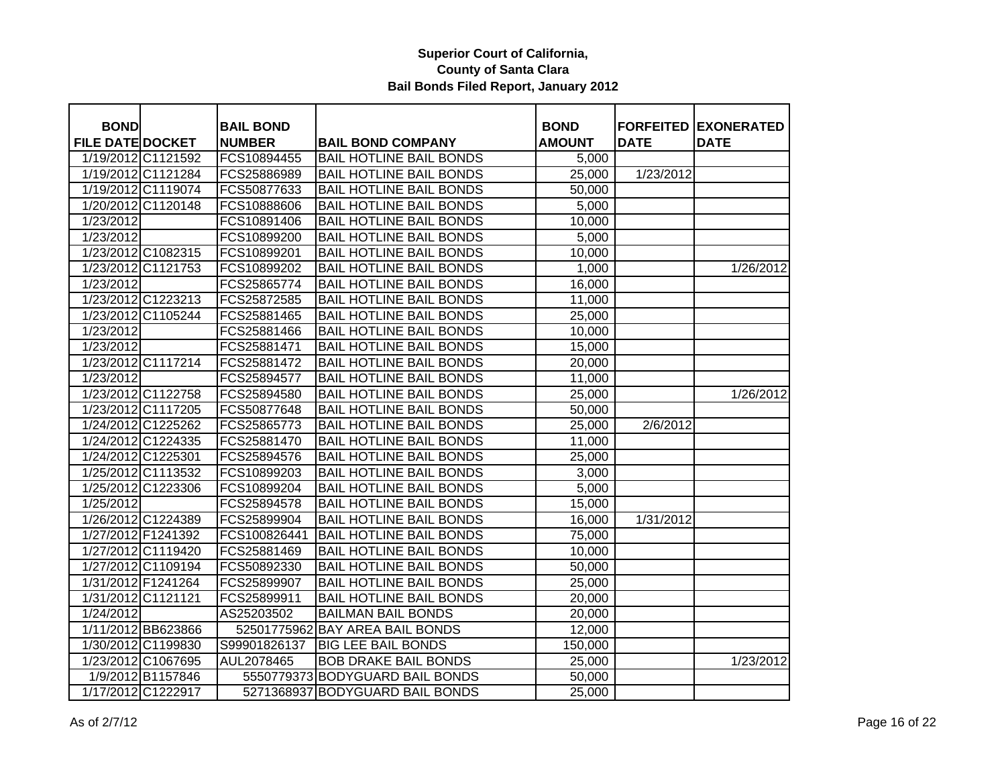| <b>BOND</b>             |                    | <b>BAIL BOND</b> |                                 | <b>BOND</b>         |             | <b>FORFEITED EXONERATED</b> |
|-------------------------|--------------------|------------------|---------------------------------|---------------------|-------------|-----------------------------|
| <b>FILE DATE DOCKET</b> |                    | <b>NUMBER</b>    | <b>BAIL BOND COMPANY</b>        | <b>AMOUNT</b>       | <b>DATE</b> | <b>DATE</b>                 |
| 1/19/2012 C1121592      |                    | FCS10894455      | <b>BAIL HOTLINE BAIL BONDS</b>  | 5,000               |             |                             |
|                         | 1/19/2012 C1121284 | FCS25886989      | <b>BAIL HOTLINE BAIL BONDS</b>  | 25,000              | 1/23/2012   |                             |
|                         | 1/19/2012 C1119074 | FCS50877633      | <b>BAIL HOTLINE BAIL BONDS</b>  | 50,000              |             |                             |
| 1/20/2012 C1120148      |                    | FCS10888606      | <b>BAIL HOTLINE BAIL BONDS</b>  | 5,000               |             |                             |
| 1/23/2012               |                    | FCS10891406      | <b>BAIL HOTLINE BAIL BONDS</b>  | 10,000              |             |                             |
| 1/23/2012               |                    | FCS10899200      | <b>BAIL HOTLINE BAIL BONDS</b>  | 5,000               |             |                             |
|                         | 1/23/2012 C1082315 | FCS10899201      | <b>BAIL HOTLINE BAIL BONDS</b>  | 10,000              |             |                             |
|                         | 1/23/2012 C1121753 | FCS10899202      | <b>BAIL HOTLINE BAIL BONDS</b>  | 1,000               |             | 1/26/2012                   |
| 1/23/2012               |                    | FCS25865774      | <b>BAIL HOTLINE BAIL BONDS</b>  | 16,000              |             |                             |
| 1/23/2012 C1223213      |                    | FCS25872585      | <b>BAIL HOTLINE BAIL BONDS</b>  | 11,000              |             |                             |
|                         | 1/23/2012 C1105244 | FCS25881465      | <b>BAIL HOTLINE BAIL BONDS</b>  | 25,000              |             |                             |
| 1/23/2012               |                    | FCS25881466      | <b>BAIL HOTLINE BAIL BONDS</b>  | 10,000              |             |                             |
| 1/23/2012               |                    | FCS25881471      | <b>BAIL HOTLINE BAIL BONDS</b>  | 15,000              |             |                             |
|                         | 1/23/2012 C1117214 | FCS25881472      | <b>BAIL HOTLINE BAIL BONDS</b>  | 20,000              |             |                             |
| 1/23/2012               |                    | FCS25894577      | <b>BAIL HOTLINE BAIL BONDS</b>  | 11,000              |             |                             |
|                         | 1/23/2012 C1122758 | FCS25894580      | <b>BAIL HOTLINE BAIL BONDS</b>  | $\overline{2}5,000$ |             | 1/26/2012                   |
|                         | 1/23/2012 C1117205 | FCS50877648      | <b>BAIL HOTLINE BAIL BONDS</b>  | 50,000              |             |                             |
|                         | 1/24/2012 C1225262 | FCS25865773      | <b>BAIL HOTLINE BAIL BONDS</b>  | 25,000              | 2/6/2012    |                             |
|                         | 1/24/2012 C1224335 | FCS25881470      | <b>BAIL HOTLINE BAIL BONDS</b>  | 11,000              |             |                             |
| 1/24/2012 C1225301      |                    | FCS25894576      | <b>BAIL HOTLINE BAIL BONDS</b>  | 25,000              |             |                             |
| 1/25/2012 C1113532      |                    | FCS10899203      | <b>BAIL HOTLINE BAIL BONDS</b>  | 3,000               |             |                             |
| 1/25/2012 C1223306      |                    | FCS10899204      | <b>BAIL HOTLINE BAIL BONDS</b>  | 5,000               |             |                             |
| 1/25/2012               |                    | FCS25894578      | <b>BAIL HOTLINE BAIL BONDS</b>  | 15,000              |             |                             |
| 1/26/2012 C1224389      |                    | FCS25899904      | <b>BAIL HOTLINE BAIL BONDS</b>  | 16,000              | 1/31/2012   |                             |
| 1/27/2012 F1241392      |                    | FCS100826441     | <b>BAIL HOTLINE BAIL BONDS</b>  | 75,000              |             |                             |
| 1/27/2012 C1119420      |                    | FCS25881469      | <b>BAIL HOTLINE BAIL BONDS</b>  | 10,000              |             |                             |
|                         | 1/27/2012 C1109194 | FCS50892330      | <b>BAIL HOTLINE BAIL BONDS</b>  | 50,000              |             |                             |
| 1/31/2012 F1241264      |                    | FCS25899907      | <b>BAIL HOTLINE BAIL BONDS</b>  | 25,000              |             |                             |
| 1/31/2012 C1121121      |                    | FCS25899911      | <b>BAIL HOTLINE BAIL BONDS</b>  | 20,000              |             |                             |
| 1/24/2012               |                    | AS25203502       | <b>BAILMAN BAIL BONDS</b>       | 20,000              |             |                             |
|                         | 1/11/2012 BB623866 |                  | 52501775962 BAY AREA BAIL BONDS | 12,000              |             |                             |
|                         | 1/30/2012 C1199830 | S99901826137     | <b>BIG LEE BAIL BONDS</b>       | 150,000             |             |                             |
|                         | 1/23/2012 C1067695 | AUL2078465       | <b>BOB DRAKE BAIL BONDS</b>     | 25,000              |             | 1/23/2012                   |
|                         | 1/9/2012 B1157846  |                  | 5550779373 BODYGUARD BAIL BONDS | 50,000              |             |                             |
|                         | 1/17/2012 C1222917 |                  | 5271368937 BODYGUARD BAIL BONDS | 25,000              |             |                             |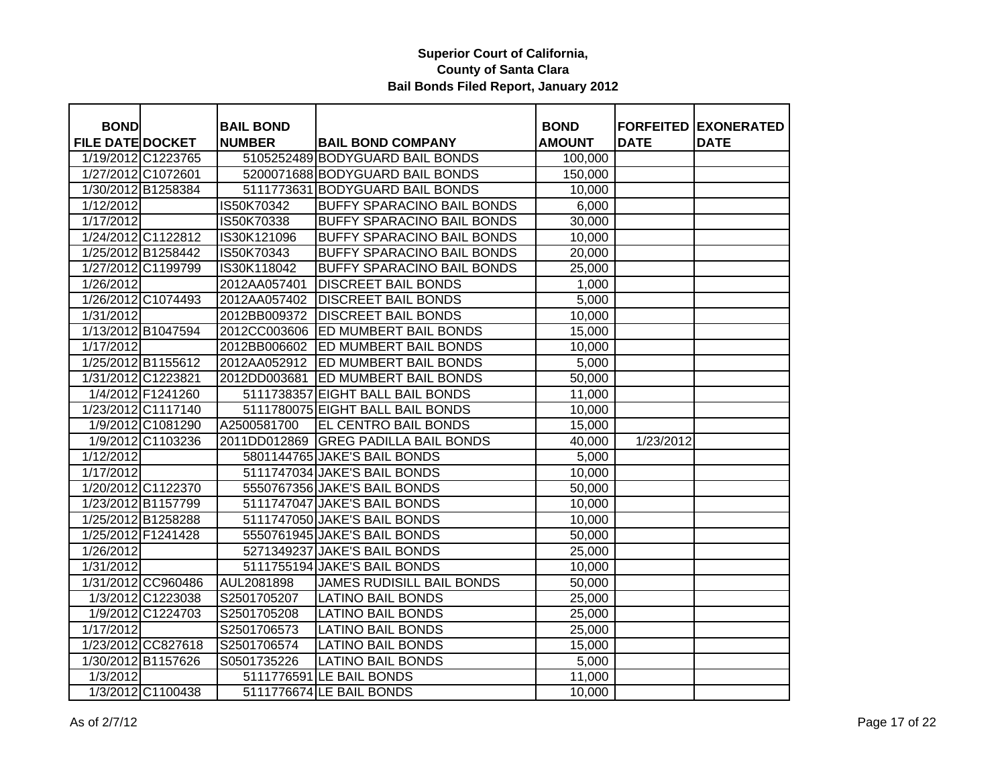| <b>BOND</b>             |                    | <b>BAIL BOND</b> |                                    | <b>BOND</b>   |             | <b>FORFEITED EXONERATED</b> |
|-------------------------|--------------------|------------------|------------------------------------|---------------|-------------|-----------------------------|
| <b>FILE DATE DOCKET</b> |                    | <b>NUMBER</b>    | <b>BAIL BOND COMPANY</b>           | <b>AMOUNT</b> | <b>DATE</b> | <b>DATE</b>                 |
|                         | 1/19/2012 C1223765 |                  | 5105252489 BODYGUARD BAIL BONDS    | 100,000       |             |                             |
| 1/27/2012 C1072601      |                    |                  | 5200071688 BODYGUARD BAIL BONDS    | 150,000       |             |                             |
| 1/30/2012 B1258384      |                    |                  | 5111773631 BODYGUARD BAIL BONDS    | 10,000        |             |                             |
| 1/12/2012               |                    | IS50K70342       | <b>BUFFY SPARACINO BAIL BONDS</b>  | 6,000         |             |                             |
| 1/17/2012               |                    | IS50K70338       | <b>BUFFY SPARACINO BAIL BONDS</b>  | 30,000        |             |                             |
|                         | 1/24/2012 C1122812 | IS30K121096      | <b>BUFFY SPARACINO BAIL BONDS</b>  | 10,000        |             |                             |
|                         | 1/25/2012 B1258442 | IS50K70343       | <b>BUFFY SPARACINO BAIL BONDS</b>  | 20,000        |             |                             |
|                         | 1/27/2012 C1199799 | IS30K118042      | <b>BUFFY SPARACINO BAIL BONDS</b>  | 25,000        |             |                             |
| 1/26/2012               |                    | 2012AA057401     | <b>DISCREET BAIL BONDS</b>         | 1,000         |             |                             |
|                         | 1/26/2012 C1074493 | 2012AA057402     | <b>DISCREET BAIL BONDS</b>         | 5,000         |             |                             |
| 1/31/2012               |                    | 2012BB009372     | <b>DISCREET BAIL BONDS</b>         | 10,000        |             |                             |
|                         | 1/13/2012 B1047594 |                  | 2012CC003606 ED MUMBERT BAIL BONDS | 15,000        |             |                             |
| 1/17/2012               |                    | 2012BB006602     | <b>ED MUMBERT BAIL BONDS</b>       | 10,000        |             |                             |
|                         | 1/25/2012 B1155612 |                  | 2012AA052912 ED MUMBERT BAIL BONDS | 5,000         |             |                             |
|                         | 1/31/2012 C1223821 | 2012DD003681     | <b>ED MUMBERT BAIL BONDS</b>       | 50,000        |             |                             |
|                         | 1/4/2012 F1241260  |                  | 5111738357 EIGHT BALL BAIL BONDS   | 11,000        |             |                             |
|                         | 1/23/2012 C1117140 |                  | 5111780075 EIGHT BALL BAIL BONDS   | 10,000        |             |                             |
|                         | 1/9/2012 C1081290  | A2500581700      | EL CENTRO BAIL BONDS               | 15,000        |             |                             |
|                         | 1/9/2012 C1103236  | 2011DD012869     | <b>GREG PADILLA BAIL BONDS</b>     | 40,000        | 1/23/2012   |                             |
| 1/12/2012               |                    |                  | 5801144765 JAKE'S BAIL BONDS       | 5,000         |             |                             |
| 1/17/2012               |                    |                  | 5111747034 JAKE'S BAIL BONDS       | 10,000        |             |                             |
|                         | 1/20/2012 C1122370 |                  | 5550767356 JAKE'S BAIL BONDS       | 50,000        |             |                             |
| 1/23/2012 B1157799      |                    |                  | 5111747047 JAKE'S BAIL BONDS       | 10,000        |             |                             |
|                         | 1/25/2012 B1258288 |                  | 5111747050 JAKE'S BAIL BONDS       | 10,000        |             |                             |
| 1/25/2012 F1241428      |                    |                  | 5550761945 JAKE'S BAIL BONDS       | 50,000        |             |                             |
| 1/26/2012               |                    |                  | 5271349237 JAKE'S BAIL BONDS       | 25,000        |             |                             |
| 1/31/2012               |                    |                  | 5111755194 JAKE'S BAIL BONDS       | 10,000        |             |                             |
|                         | 1/31/2012 CC960486 | AUL2081898       | <b>JAMES RUDISILL BAIL BONDS</b>   | 50,000        |             |                             |
|                         | 1/3/2012 C1223038  | S2501705207      | <b>LATINO BAIL BONDS</b>           | 25,000        |             |                             |
|                         | 1/9/2012 C1224703  | S2501705208      | <b>LATINO BAIL BONDS</b>           | 25,000        |             |                             |
| 1/17/2012               |                    | S2501706573      | <b>LATINO BAIL BONDS</b>           | 25,000        |             |                             |
|                         | 1/23/2012 CC827618 | S2501706574      | <b>LATINO BAIL BONDS</b>           | 15,000        |             |                             |
|                         | 1/30/2012 B1157626 | S0501735226      | <b>LATINO BAIL BONDS</b>           | 5,000         |             |                             |
| 1/3/2012                |                    |                  | 5111776591 LE BAIL BONDS           | 11,000        |             |                             |
|                         | 1/3/2012 C1100438  |                  | 5111776674 LE BAIL BONDS           | 10,000        |             |                             |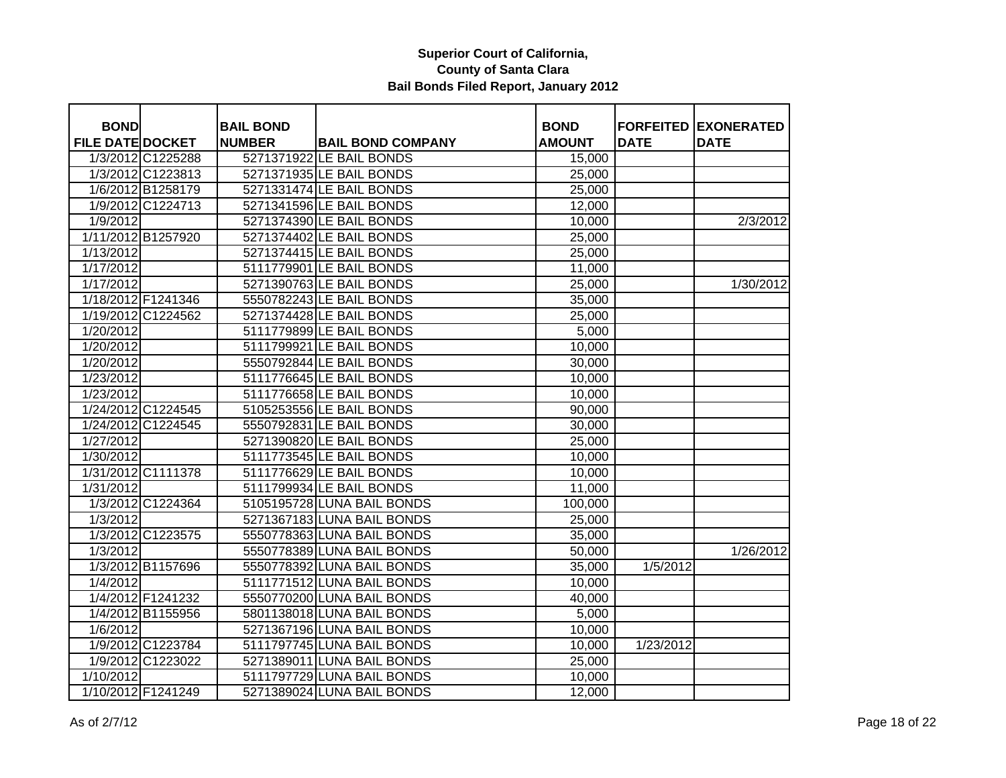| <b>BOND</b>             |                    | <b>BAIL BOND</b> |                            | <b>BOND</b>   |             | <b>FORFEITED EXONERATED</b> |
|-------------------------|--------------------|------------------|----------------------------|---------------|-------------|-----------------------------|
| <b>FILE DATE DOCKET</b> |                    | <b>NUMBER</b>    | <b>BAIL BOND COMPANY</b>   | <b>AMOUNT</b> | <b>DATE</b> | <b>DATE</b>                 |
|                         | 1/3/2012 C1225288  |                  | 5271371922 LE BAIL BONDS   | 15,000        |             |                             |
|                         | 1/3/2012 C1223813  |                  | 5271371935 LE BAIL BONDS   | 25,000        |             |                             |
|                         | 1/6/2012 B1258179  |                  | 5271331474 LE BAIL BONDS   | 25,000        |             |                             |
|                         | 1/9/2012 C1224713  |                  | 5271341596 LE BAIL BONDS   | 12,000        |             |                             |
| 1/9/2012                |                    |                  | 5271374390 LE BAIL BONDS   | 10,000        |             | 2/3/2012                    |
|                         | 1/11/2012 B1257920 |                  | 5271374402 LE BAIL BONDS   | 25,000        |             |                             |
| 1/13/2012               |                    |                  | 5271374415 LE BAIL BONDS   | 25,000        |             |                             |
| $\frac{1}{1}$ 17/2012   |                    |                  | 5111779901 LE BAIL BONDS   | 11,000        |             |                             |
| 1/17/2012               |                    |                  | 5271390763 LE BAIL BONDS   | 25,000        |             | 1/30/2012                   |
|                         | 1/18/2012 F1241346 |                  | 5550782243 LE BAIL BONDS   | 35,000        |             |                             |
|                         | 1/19/2012 C1224562 |                  | 5271374428 LE BAIL BONDS   | 25,000        |             |                             |
| 1/20/2012               |                    |                  | 5111779899 LE BAIL BONDS   | 5,000         |             |                             |
| 1/20/2012               |                    |                  | 5111799921 LE BAIL BONDS   | 10,000        |             |                             |
| 1/20/2012               |                    |                  | 5550792844 LE BAIL BONDS   | 30,000        |             |                             |
| 1/23/2012               |                    |                  | 5111776645 LE BAIL BONDS   | 10,000        |             |                             |
| 1/23/2012               |                    |                  | 5111776658 LE BAIL BONDS   | 10,000        |             |                             |
|                         | 1/24/2012 C1224545 |                  | 5105253556 LE BAIL BONDS   | 90,000        |             |                             |
|                         | 1/24/2012 C1224545 |                  | 5550792831 LE BAIL BONDS   | 30,000        |             |                             |
| 1/27/2012               |                    |                  | 5271390820 LE BAIL BONDS   | 25,000        |             |                             |
| 1/30/2012               |                    |                  | 5111773545 LE BAIL BONDS   | 10,000        |             |                             |
|                         | 1/31/2012 C1111378 |                  | 5111776629 LE BAIL BONDS   | 10,000        |             |                             |
| 1/31/2012               |                    |                  | 5111799934 LE BAIL BONDS   | 11,000        |             |                             |
|                         | 1/3/2012 C1224364  |                  | 5105195728 LUNA BAIL BONDS | 100,000       |             |                             |
| 1/3/2012                |                    |                  | 5271367183 LUNA BAIL BONDS | 25,000        |             |                             |
|                         | 1/3/2012 C1223575  |                  | 5550778363 LUNA BAIL BONDS | 35,000        |             |                             |
| 1/3/2012                |                    |                  | 5550778389 LUNA BAIL BONDS | 50,000        |             | 1/26/2012                   |
|                         | 1/3/2012 B1157696  |                  | 5550778392 LUNA BAIL BONDS | 35,000        | 1/5/2012    |                             |
| 1/4/2012                |                    |                  | 5111771512 LUNA BAIL BONDS | 10,000        |             |                             |
|                         | 1/4/2012 F1241232  |                  | 5550770200 LUNA BAIL BONDS | 40,000        |             |                             |
|                         | 1/4/2012 B1155956  |                  | 5801138018 LUNA BAIL BONDS | 5,000         |             |                             |
| 1/6/2012                |                    |                  | 5271367196 LUNA BAIL BONDS | 10,000        |             |                             |
|                         | 1/9/2012 C1223784  |                  | 5111797745 LUNA BAIL BONDS | 10,000        | 1/23/2012   |                             |
|                         | 1/9/2012 C1223022  |                  | 5271389011 LUNA BAIL BONDS | 25,000        |             |                             |
| 1/10/2012               |                    |                  | 5111797729 LUNA BAIL BONDS | 10,000        |             |                             |
|                         | 1/10/2012 F1241249 |                  | 5271389024 LUNA BAIL BONDS | 12,000        |             |                             |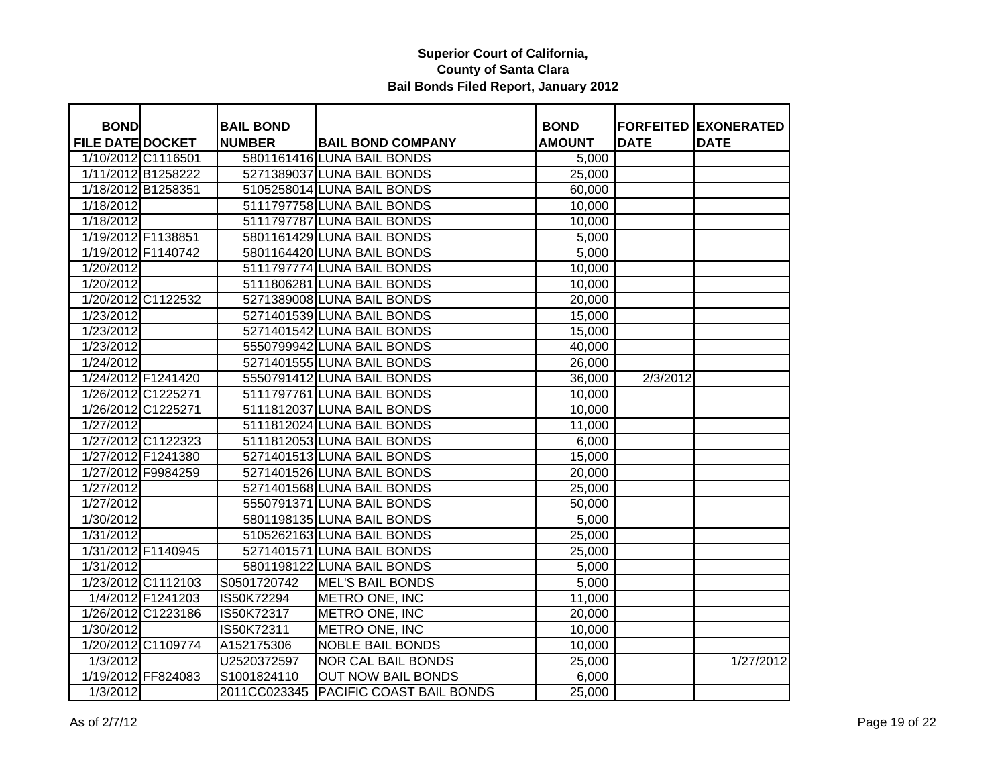| <b>BOND</b>             |                    | <b>BAIL BOND</b> |                                       | <b>BOND</b>   |             | <b>FORFEITED EXONERATED</b> |
|-------------------------|--------------------|------------------|---------------------------------------|---------------|-------------|-----------------------------|
| <b>FILE DATE DOCKET</b> |                    | <b>NUMBER</b>    | <b>BAIL BOND COMPANY</b>              | <b>AMOUNT</b> | <b>DATE</b> | <b>DATE</b>                 |
|                         | 1/10/2012 C1116501 |                  | 5801161416 LUNA BAIL BONDS            | 5,000         |             |                             |
|                         | 1/11/2012 B1258222 |                  | 5271389037 LUNA BAIL BONDS            | 25,000        |             |                             |
|                         | 1/18/2012 B1258351 |                  | 5105258014 LUNA BAIL BONDS            | 60,000        |             |                             |
| 1/18/2012               |                    |                  | 5111797758 LUNA BAIL BONDS            | 10,000        |             |                             |
| 1/18/2012               |                    |                  | 5111797787 LUNA BAIL BONDS            | 10,000        |             |                             |
|                         | 1/19/2012 F1138851 |                  | 5801161429 LUNA BAIL BONDS            | 5,000         |             |                             |
|                         | 1/19/2012 F1140742 |                  | 5801164420 LUNA BAIL BONDS            | 5,000         |             |                             |
| 1/20/2012               |                    |                  | 5111797774 LUNA BAIL BONDS            | 10,000        |             |                             |
| 1/20/2012               |                    |                  | 5111806281 LUNA BAIL BONDS            | 10,000        |             |                             |
|                         | 1/20/2012 C1122532 |                  | 5271389008 LUNA BAIL BONDS            | 20,000        |             |                             |
| 1/23/2012               |                    |                  | 5271401539 LUNA BAIL BONDS            | 15,000        |             |                             |
| 1/23/2012               |                    |                  | 5271401542 LUNA BAIL BONDS            | 15,000        |             |                             |
| 1/23/2012               |                    |                  | 5550799942 LUNA BAIL BONDS            | 40,000        |             |                             |
| 1/24/2012               |                    |                  | 5271401555 LUNA BAIL BONDS            | 26,000        |             |                             |
|                         | 1/24/2012 F1241420 |                  | 5550791412 LUNA BAIL BONDS            | 36,000        | 2/3/2012    |                             |
|                         | 1/26/2012 C1225271 |                  | 5111797761 LUNA BAIL BONDS            | 10,000        |             |                             |
|                         | 1/26/2012 C1225271 |                  | 5111812037 LUNA BAIL BONDS            | 10,000        |             |                             |
| 1/27/2012               |                    |                  | 5111812024 LUNA BAIL BONDS            | 11,000        |             |                             |
|                         | 1/27/2012 C1122323 |                  | 5111812053 LUNA BAIL BONDS            | 6,000         |             |                             |
|                         | 1/27/2012 F1241380 |                  | 5271401513 LUNA BAIL BONDS            | 15,000        |             |                             |
|                         | 1/27/2012 F9984259 |                  | 5271401526 LUNA BAIL BONDS            | 20,000        |             |                             |
| 1/27/2012               |                    |                  | 5271401568 LUNA BAIL BONDS            | 25,000        |             |                             |
| 1/27/2012               |                    |                  | 5550791371 LUNA BAIL BONDS            | 50,000        |             |                             |
| 1/30/2012               |                    |                  | 5801198135 LUNA BAIL BONDS            | 5,000         |             |                             |
| 1/31/2012               |                    |                  | 5105262163 LUNA BAIL BONDS            | 25,000        |             |                             |
|                         | 1/31/2012 F1140945 |                  | 5271401571 LUNA BAIL BONDS            | 25,000        |             |                             |
| 1/31/2012               |                    |                  | 5801198122 LUNA BAIL BONDS            | 5,000         |             |                             |
|                         | 1/23/2012 C1112103 | S0501720742      | <b>MEL'S BAIL BONDS</b>               | 5,000         |             |                             |
|                         | 1/4/2012 F1241203  | IS50K72294       | <b>METRO ONE, INC</b>                 | 11,000        |             |                             |
|                         | 1/26/2012 C1223186 | IS50K72317       | METRO ONE, INC                        | 20,000        |             |                             |
| 1/30/2012               |                    | IS50K72311       | METRO ONE, INC                        | 10,000        |             |                             |
|                         | 1/20/2012 C1109774 | A152175306       | <b>NOBLE BAIL BONDS</b>               | 10,000        |             |                             |
| 1/3/2012                |                    | U2520372597      | <b>NOR CAL BAIL BONDS</b>             | 25,000        |             | 1/27/2012                   |
|                         | 1/19/2012 FF824083 | S1001824110      | <b>OUT NOW BAIL BONDS</b>             | 6,000         |             |                             |
| $\overline{1/3}/2012$   |                    |                  | 2011CC023345 PACIFIC COAST BAIL BONDS | 25,000        |             |                             |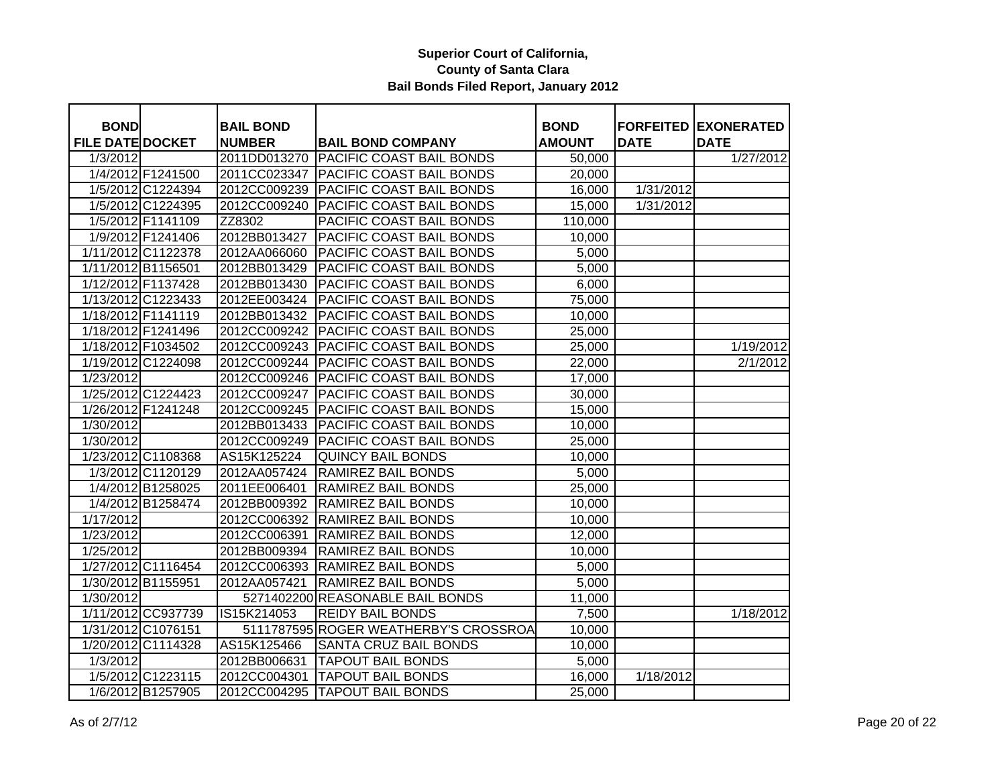| <b>BOND</b>             |                    | <b>BAIL BOND</b> |                                       | <b>BOND</b>   |             | <b>FORFEITED EXONERATED</b> |
|-------------------------|--------------------|------------------|---------------------------------------|---------------|-------------|-----------------------------|
| <b>FILE DATE DOCKET</b> |                    | <b>NUMBER</b>    | <b>BAIL BOND COMPANY</b>              | <b>AMOUNT</b> | <b>DATE</b> | <b>DATE</b>                 |
| 1/3/2012                |                    | 2011DD013270     | <b>PACIFIC COAST BAIL BONDS</b>       | 50,000        |             | 1/27/2012                   |
|                         | 1/4/2012 F1241500  | 2011CC023347     | <b>PACIFIC COAST BAIL BONDS</b>       | 20,000        |             |                             |
|                         | 1/5/2012 C1224394  | 2012CC009239     | PACIFIC COAST BAIL BONDS              | 16,000        | 1/31/2012   |                             |
|                         | 1/5/2012 C1224395  | 2012CC009240     | <b>PACIFIC COAST BAIL BONDS</b>       | 15,000        | 1/31/2012   |                             |
|                         | 1/5/2012 F1141109  | ZZ8302           | PACIFIC COAST BAIL BONDS              | 110,000       |             |                             |
|                         | 1/9/2012 F1241406  | 2012BB013427     | PACIFIC COAST BAIL BONDS              | 10,000        |             |                             |
|                         | 1/11/2012 C1122378 | 2012AA066060     | PACIFIC COAST BAIL BONDS              | 5,000         |             |                             |
| 1/11/2012 B1156501      |                    | 2012BB013429     | <b>PACIFIC COAST BAIL BONDS</b>       | 5,000         |             |                             |
|                         | 1/12/2012 F1137428 | 2012BB013430     | <b>PACIFIC COAST BAIL BONDS</b>       | 6,000         |             |                             |
|                         | 1/13/2012 C1223433 | 2012EE003424     | <b>PACIFIC COAST BAIL BONDS</b>       | 75,000        |             |                             |
|                         | 1/18/2012 F1141119 | 2012BB013432     | PACIFIC COAST BAIL BONDS              | 10,000        |             |                             |
|                         | 1/18/2012 F1241496 | 2012CC009242     | <b>PACIFIC COAST BAIL BONDS</b>       | 25,000        |             |                             |
|                         | 1/18/2012 F1034502 | 2012CC009243     | PACIFIC COAST BAIL BONDS              | 25,000        |             | 1/19/2012                   |
|                         | 1/19/2012 C1224098 | 2012CC009244     | <b>PACIFIC COAST BAIL BONDS</b>       | 22,000        |             | 2/1/2012                    |
| 1/23/2012               |                    | 2012CC009246     | <b>PACIFIC COAST BAIL BONDS</b>       | 17,000        |             |                             |
|                         | 1/25/2012 C1224423 | 2012CC009247     | PACIFIC COAST BAIL BONDS              | 30,000        |             |                             |
|                         | 1/26/2012 F1241248 | 2012CC009245     | PACIFIC COAST BAIL BONDS              | 15,000        |             |                             |
| 1/30/2012               |                    | 2012BB013433     | PACIFIC COAST BAIL BONDS              | 10,000        |             |                             |
| 1/30/2012               |                    | 2012CC009249     | PACIFIC COAST BAIL BONDS              | 25,000        |             |                             |
|                         | 1/23/2012 C1108368 | AS15K125224      | <b>QUINCY BAIL BONDS</b>              | 10,000        |             |                             |
|                         | 1/3/2012 C1120129  | 2012AA057424     | <b>RAMIREZ BAIL BONDS</b>             | 5,000         |             |                             |
|                         | 1/4/2012 B1258025  | 2011EE006401     | RAMIREZ BAIL BONDS                    | 25,000        |             |                             |
|                         | 1/4/2012 B1258474  | 2012BB009392     | <b>RAMIREZ BAIL BONDS</b>             | 10,000        |             |                             |
| 1/17/2012               |                    | 2012CC006392     | RAMIREZ BAIL BONDS                    | 10,000        |             |                             |
| 1/23/2012               |                    | 2012CC006391     | <b>RAMIREZ BAIL BONDS</b>             | 12,000        |             |                             |
| 1/25/2012               |                    | 2012BB009394     | <b>RAMIREZ BAIL BONDS</b>             | 10,000        |             |                             |
|                         | 1/27/2012 C1116454 | 2012CC006393     | <b>RAMIREZ BAIL BONDS</b>             | 5,000         |             |                             |
| 1/30/2012 B1155951      |                    | 2012AA057421     | <b>RAMIREZ BAIL BONDS</b>             | 5,000         |             |                             |
| 1/30/2012               |                    |                  | 5271402200 REASONABLE BAIL BONDS      | 11,000        |             |                             |
|                         | 1/11/2012 CC937739 | IS15K214053      | <b>REIDY BAIL BONDS</b>               | 7,500         |             | 1/18/2012                   |
|                         | 1/31/2012 C1076151 |                  | 5111787595 ROGER WEATHERBY'S CROSSROA | 10,000        |             |                             |
|                         | 1/20/2012 C1114328 | AS15K125466      | <b>SANTA CRUZ BAIL BONDS</b>          | 10,000        |             |                             |
| 1/3/2012                |                    | 2012BB006631     | <b>TAPOUT BAIL BONDS</b>              | 5,000         |             |                             |
|                         | 1/5/2012 C1223115  | 2012CC004301     | <b>TAPOUT BAIL BONDS</b>              | 16,000        | 1/18/2012   |                             |
|                         | 1/6/2012 B1257905  |                  | 2012CC004295 TAPOUT BAIL BONDS        | 25,000        |             |                             |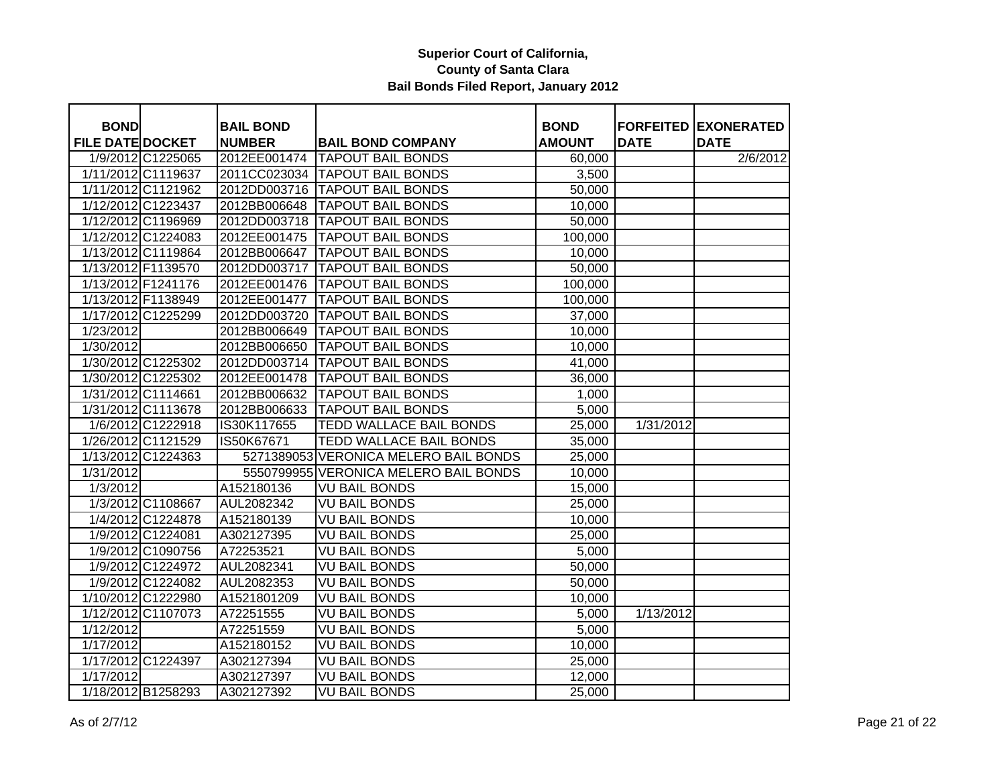| <b>BOND</b>             |                    | <b>BAIL BOND</b> |                                       | <b>BOND</b>   |             | <b>FORFEITED EXONERATED</b> |
|-------------------------|--------------------|------------------|---------------------------------------|---------------|-------------|-----------------------------|
| <b>FILE DATE DOCKET</b> |                    | <b>NUMBER</b>    | <b>BAIL BOND COMPANY</b>              | <b>AMOUNT</b> | <b>DATE</b> | <b>DATE</b>                 |
|                         | 1/9/2012 C1225065  | 2012EE001474     | <b>TAPOUT BAIL BONDS</b>              | 60,000        |             | 2/6/2012                    |
|                         | 1/11/2012 C1119637 |                  | 2011CC023034 TAPOUT BAIL BONDS        | 3,500         |             |                             |
|                         | 1/11/2012 C1121962 |                  | 2012DD003716 TAPOUT BAIL BONDS        | 50,000        |             |                             |
|                         | 1/12/2012 C1223437 | 2012BB006648     | <b>TAPOUT BAIL BONDS</b>              | 10,000        |             |                             |
|                         | 1/12/2012 C1196969 |                  | 2012DD003718 TAPOUT BAIL BONDS        | 50,000        |             |                             |
|                         | 1/12/2012 C1224083 | 2012EE001475     | <b>TAPOUT BAIL BONDS</b>              | 100,000       |             |                             |
|                         | 1/13/2012 C1119864 | 2012BB006647     | <b>TAPOUT BAIL BONDS</b>              | 10,000        |             |                             |
|                         | 1/13/2012 F1139570 | 2012DD003717     | <b>TAPOUT BAIL BONDS</b>              | 50,000        |             |                             |
|                         | 1/13/2012 F1241176 | 2012EE001476     | <b>TAPOUT BAIL BONDS</b>              | 100,000       |             |                             |
|                         | 1/13/2012 F1138949 | 2012EE001477     | <b>TAPOUT BAIL BONDS</b>              | 100,000       |             |                             |
|                         | 1/17/2012 C1225299 | 2012DD003720     | <b>TAPOUT BAIL BONDS</b>              | 37,000        |             |                             |
| 1/23/2012               |                    | 2012BB006649     | <b>TAPOUT BAIL BONDS</b>              | 10,000        |             |                             |
| 1/30/2012               |                    | 2012BB006650     | <b>TAPOUT BAIL BONDS</b>              | 10,000        |             |                             |
|                         | 1/30/2012 C1225302 |                  | 2012DD003714 TAPOUT BAIL BONDS        | 41,000        |             |                             |
|                         | 1/30/2012 C1225302 | 2012EE001478     | <b>TAPOUT BAIL BONDS</b>              | 36,000        |             |                             |
|                         | 1/31/2012 C1114661 | 2012BB006632     | <b>TAPOUT BAIL BONDS</b>              | 1,000         |             |                             |
|                         | 1/31/2012 C1113678 | 2012BB006633     | <b>TAPOUT BAIL BONDS</b>              | 5,000         |             |                             |
|                         | 1/6/2012 C1222918  | IS30K117655      | <b>TEDD WALLACE BAIL BONDS</b>        | 25,000        | 1/31/2012   |                             |
|                         | 1/26/2012 C1121529 | IS50K67671       | <b>TEDD WALLACE BAIL BONDS</b>        | 35,000        |             |                             |
|                         | 1/13/2012 C1224363 | 5271389053       | <b>VERONICA MELERO BAIL BONDS</b>     | 25,000        |             |                             |
| 1/31/2012               |                    |                  | 5550799955 VERONICA MELERO BAIL BONDS | 10,000        |             |                             |
| 1/3/2012                |                    | A152180136       | <b>VU BAIL BONDS</b>                  | 15,000        |             |                             |
|                         | 1/3/2012 C1108667  | AUL2082342       | <b>VU BAIL BONDS</b>                  | 25,000        |             |                             |
|                         | 1/4/2012 C1224878  | A152180139       | <b>VU BAIL BONDS</b>                  | 10,000        |             |                             |
|                         | 1/9/2012 C1224081  | A302127395       | <b>VU BAIL BONDS</b>                  | 25,000        |             |                             |
|                         | 1/9/2012 C1090756  | A72253521        | <b>VU BAIL BONDS</b>                  | 5,000         |             |                             |
|                         | 1/9/2012 C1224972  | AUL2082341       | <b>VU BAIL BONDS</b>                  | 50,000        |             |                             |
|                         | 1/9/2012 C1224082  | AUL2082353       | <b>VU BAIL BONDS</b>                  | 50,000        |             |                             |
|                         | 1/10/2012 C1222980 | A1521801209      | <b>VU BAIL BONDS</b>                  | 10,000        |             |                             |
|                         | 1/12/2012 C1107073 | A72251555        | <b>VU BAIL BONDS</b>                  | 5,000         | 1/13/2012   |                             |
| 1/12/2012               |                    | A72251559        | <b>VU BAIL BONDS</b>                  | 5,000         |             |                             |
| 1/17/2012               |                    | A152180152       | <b>VU BAIL BONDS</b>                  | 10,000        |             |                             |
|                         | 1/17/2012 C1224397 | A302127394       | <b>VU BAIL BONDS</b>                  | 25,000        |             |                             |
| 1/17/2012               |                    | A302127397       | <b>VU BAIL BONDS</b>                  | 12,000        |             |                             |
|                         | 1/18/2012 B1258293 | A302127392       | <b>VU BAIL BONDS</b>                  | 25,000        |             |                             |